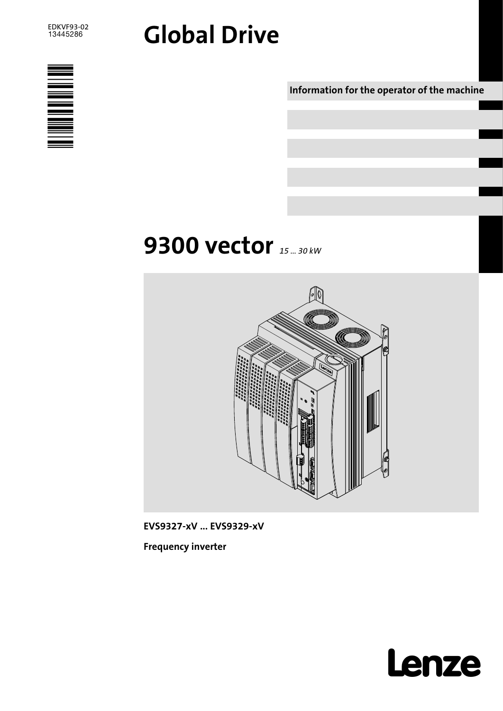# Global Drive



Information for the operator of the machine

# **9300 vector** 15 ... 30 kw



EVS9327−xV ... EVS9329−xV

Frequency inverter

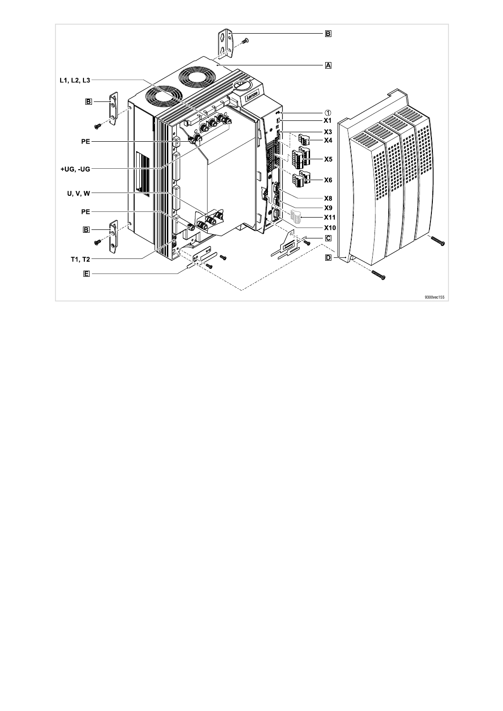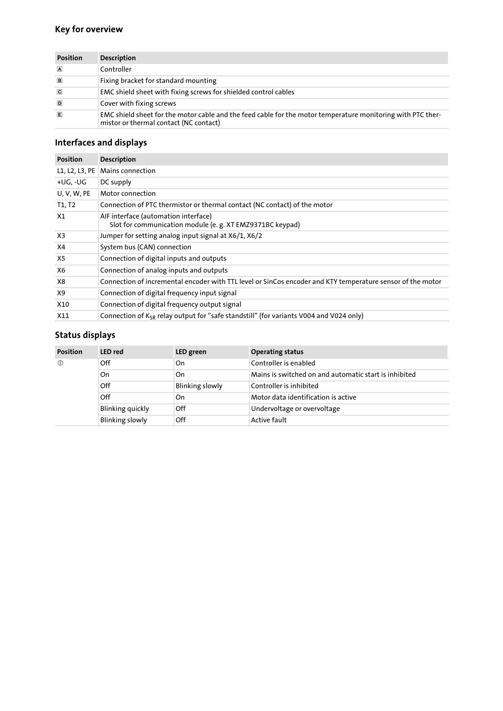## Key for overview

| <b>Position</b> | <b>Description</b>                                                                                                                                    |
|-----------------|-------------------------------------------------------------------------------------------------------------------------------------------------------|
| $\blacksquare$  | Controller                                                                                                                                            |
| $\Box$          | Fixing bracket for standard mounting                                                                                                                  |
| $\overline{c}$  | EMC shield sheet with fixing screws for shielded control cables                                                                                       |
| D               | Cover with fixing screws                                                                                                                              |
| E               | EMC shield sheet for the motor cable and the feed cable for the motor temperature monitoring with PTC ther-<br>mistor or thermal contact (NC contact) |

## Interfaces and displays

| <b>Position</b>    | <b>Description</b>                                                                                         |
|--------------------|------------------------------------------------------------------------------------------------------------|
| L1, L2, L3, PE     | Mains connection                                                                                           |
| +UG, -UG           | DC supply                                                                                                  |
| <b>U. V. W. PE</b> | Motor connection                                                                                           |
| T1, T2             | Connection of PTC thermistor or thermal contact (NC contact) of the motor                                  |
| X1                 | AIF interface (automation interface)<br>Slot for communication module (e. g. XT EMZ9371BC keypad)          |
| X <sub>3</sub>     | Jumper for setting analog input signal at X6/1, X6/2                                                       |
| X4                 | System bus (CAN) connection                                                                                |
| X <sub>5</sub>     | Connection of digital inputs and outputs                                                                   |
| X6                 | Connection of analog inputs and outputs                                                                    |
| X8                 | Connection of incremental encoder with TTL level or SinCos encoder and KTY temperature sensor of the motor |
| X9                 | Connection of digital frequency input signal                                                               |
| X10                | Connection of digital frequency output signal                                                              |
| X11                | Connection of K <sub>SR</sub> relay output for "safe standstill" (for variants V004 and V024 only)         |

## Status displays

| <b>Position</b> | <b>LED</b> red         | LED green              | <b>Operating status</b>                               |
|-----------------|------------------------|------------------------|-------------------------------------------------------|
| $\circled{0}$   | Off                    | On                     | Controller is enabled                                 |
|                 | On                     | On                     | Mains is switched on and automatic start is inhibited |
|                 | Off                    | <b>Blinking slowly</b> | Controller is inhibited                               |
|                 | Off                    | On                     | Motor data identification is active                   |
|                 | Blinking quickly       | Off                    | Undervoltage or overvoltage                           |
|                 | <b>Blinking slowly</b> | Off                    | <b>Active fault</b>                                   |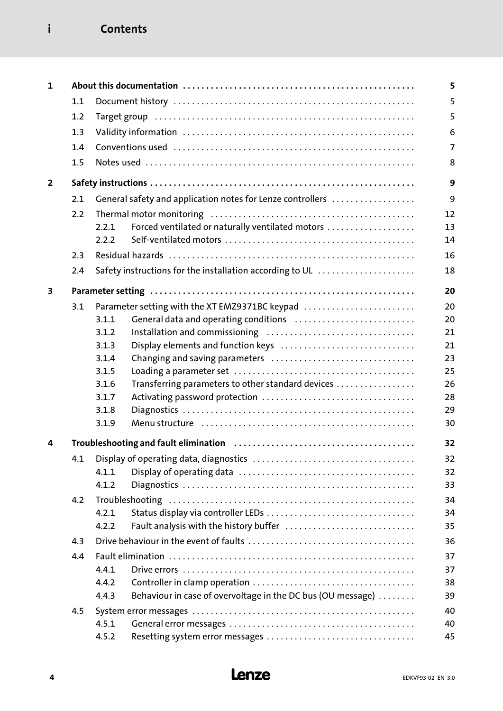## i Contents

| 1              |     |                |                                                                                                                  | 5              |
|----------------|-----|----------------|------------------------------------------------------------------------------------------------------------------|----------------|
|                | 1.1 |                |                                                                                                                  | 5              |
|                | 1.2 |                |                                                                                                                  | 5              |
|                | 1.3 |                |                                                                                                                  | 6              |
|                | 1.4 |                |                                                                                                                  | $\overline{7}$ |
|                | 1.5 |                |                                                                                                                  | 8              |
|                |     |                |                                                                                                                  |                |
| $\overline{2}$ |     |                |                                                                                                                  | 9              |
|                | 2.1 |                | General safety and application notes for Lenze controllers                                                       | 9              |
|                | 2.2 |                |                                                                                                                  | 12             |
|                |     | 2.2.1          | Forced ventilated or naturally ventilated motors                                                                 | 13             |
|                |     | 2.2.2          |                                                                                                                  | 14             |
|                | 2.3 |                |                                                                                                                  | 16             |
|                | 2.4 |                | Safety instructions for the installation according to UL                                                         | 18             |
|                |     |                |                                                                                                                  |                |
| 3              |     |                |                                                                                                                  | 20             |
|                | 3.1 |                | Parameter setting with the XT EMZ9371BC keypad                                                                   | 20             |
|                |     | 3.1.1          | General data and operating conditions                                                                            | 20             |
|                |     | 3.1.2          |                                                                                                                  | 21             |
|                |     | 3.1.3          | Display elements and function keys                                                                               | 21             |
|                |     | 3.1.4          |                                                                                                                  | 23             |
|                |     | 3.1.5          |                                                                                                                  | 25             |
|                |     | 3.1.6          | Transferring parameters to other standard devices                                                                | 26<br>28       |
|                |     | 3.1.7<br>3.1.8 |                                                                                                                  | 29             |
|                |     | 3.1.9          | Menu structure (all contains and contained all contains and menu structure and menu structure and menu structure | 30             |
|                |     |                |                                                                                                                  |                |
| 4              |     |                |                                                                                                                  | 32             |
|                | 4.1 |                |                                                                                                                  | 32             |
|                |     | 4.1.1          |                                                                                                                  | 32             |
|                |     | 4.1.2          |                                                                                                                  | 33             |
|                | 4.2 |                |                                                                                                                  | 34             |
|                |     | 4.2.1          |                                                                                                                  | 34             |
|                |     | 4.2.2          | Fault analysis with the history buffer                                                                           | 35             |
|                | 4.3 |                |                                                                                                                  | 36             |
|                | 4.4 |                |                                                                                                                  | 37             |
|                |     | 4.4.1          |                                                                                                                  | 37             |
|                |     | 4.4.2          |                                                                                                                  | 38             |
|                |     | 4.4.3          | Behaviour in case of overvoltage in the DC bus (OU message)                                                      | 39             |
|                | 4.5 |                |                                                                                                                  | 40             |
|                |     | 4.5.1          |                                                                                                                  | 40             |
|                |     | 4.5.2          |                                                                                                                  | 45             |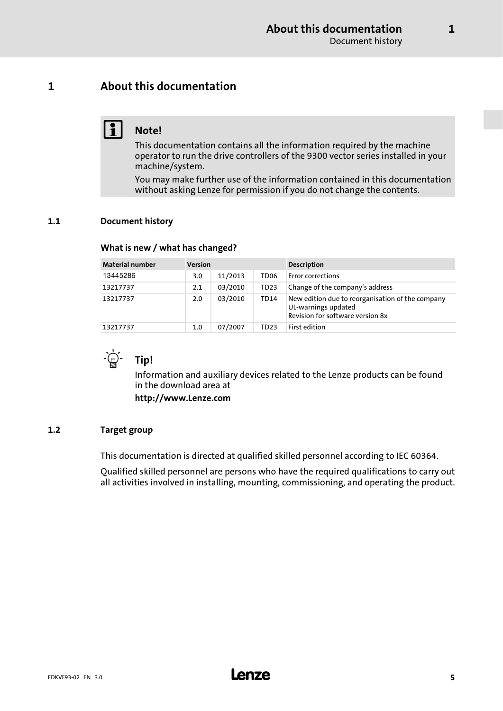## <span id="page-4-0"></span>1 About this documentation

## $\begin{bmatrix} 1 \\ 1 \end{bmatrix}$  Note!

This documentation contains all the information required by the machine operator to run the drive controllers of the 9300 vector series installed in your machine/system.

You may make further use of the information contained in this documentation without asking Lenze for permission if you do not change the contents.

## 1.1 Document history

### What is new / what has changed?

| <b>Material number</b> | <b>Version</b> |         |                  | <b>Description</b>                                                                                          |
|------------------------|----------------|---------|------------------|-------------------------------------------------------------------------------------------------------------|
| 13445286               | 3.0            | 11/2013 | TD <sub>06</sub> | <b>Error corrections</b>                                                                                    |
| 13217737               | 2.1            | 03/2010 | TD <sub>23</sub> | Change of the company's address                                                                             |
| 13217737               | 2.0            | 03/2010 | TD14             | New edition due to reorganisation of the company<br>UL-warnings updated<br>Revision for software version 8x |
| 13217737               | 1.0            | 07/2007 | TD23             | First edition                                                                                               |



Information and auxiliary devices related to the Lenze products can be found in the download area at

http://www.Lenze.com

## 1.2 Target group

This documentation is directed at qualified skilled personnel according to IEC 60364.

Qualified skilled personnel are persons who have the required qualifications to carry out all activities involved in installing, mounting, commissioning, and operating the product.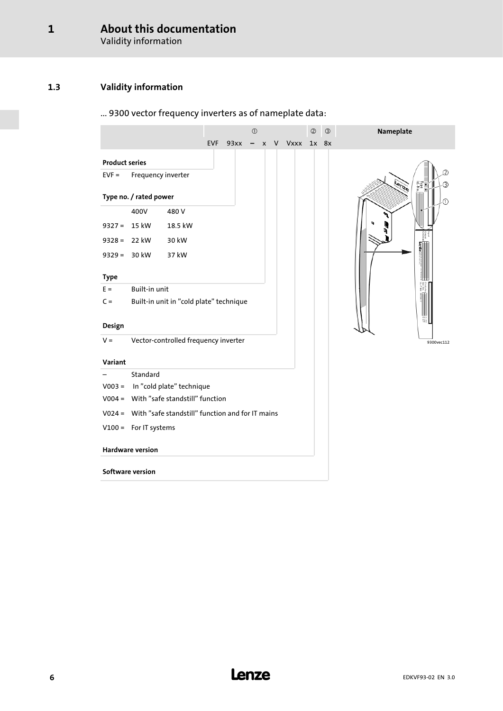Validity information

## <span id="page-5-0"></span>1.3 Validity information

## ... 9300 vector frequency inverters as of nameplate data:

|                       |                         |                                                         |          | $\odot$ |                    | $\circledcirc$ | $\circled{3}$ | Nameplate  |
|-----------------------|-------------------------|---------------------------------------------------------|----------|---------|--------------------|----------------|---------------|------------|
|                       |                         |                                                         | EVF 93xx |         | $- x V Vxxx 1x 8x$ |                |               |            |
| <b>Product series</b> |                         |                                                         |          |         |                    |                |               |            |
| $EVF =$               | Frequency inverter      |                                                         |          |         |                    |                |               | <b>SYS</b> |
|                       | Type no. / rated power  |                                                         |          |         |                    |                |               |            |
|                       | 400V                    | 480V                                                    |          |         |                    |                |               |            |
| $9327 =$              | 15 kW                   | 18.5 kW                                                 |          |         |                    |                |               |            |
| $9328 =$              | 22 kW                   | 30 kW                                                   |          |         |                    |                |               |            |
|                       | $9329 = 30$ kW          | 37 kW                                                   |          |         |                    |                |               |            |
| <b>Type</b>           |                         |                                                         |          |         |                    |                |               |            |
| $E =$                 | Built-in unit           |                                                         |          |         |                    |                |               |            |
| $C =$                 |                         | Built-in unit in "cold plate" technique                 |          |         |                    |                |               |            |
|                       |                         |                                                         |          |         |                    |                |               |            |
| Design                |                         |                                                         |          |         |                    |                |               |            |
| $V =$                 |                         | Vector-controlled frequency inverter                    |          |         |                    |                |               | 9300vec112 |
| Variant               |                         |                                                         |          |         |                    |                |               |            |
|                       | Standard                |                                                         |          |         |                    |                |               |            |
|                       |                         | V003 = In "cold plate" technique                        |          |         |                    |                |               |            |
|                       |                         | V004 = With "safe standstill" function                  |          |         |                    |                |               |            |
|                       |                         | V024 = With "safe standstill" function and for IT mains |          |         |                    |                |               |            |
|                       | $V100 =$ For IT systems |                                                         |          |         |                    |                |               |            |
|                       | <b>Hardware version</b> |                                                         |          |         |                    |                |               |            |
|                       | Software version        |                                                         |          |         |                    |                |               |            |
|                       |                         |                                                         |          |         |                    |                |               |            |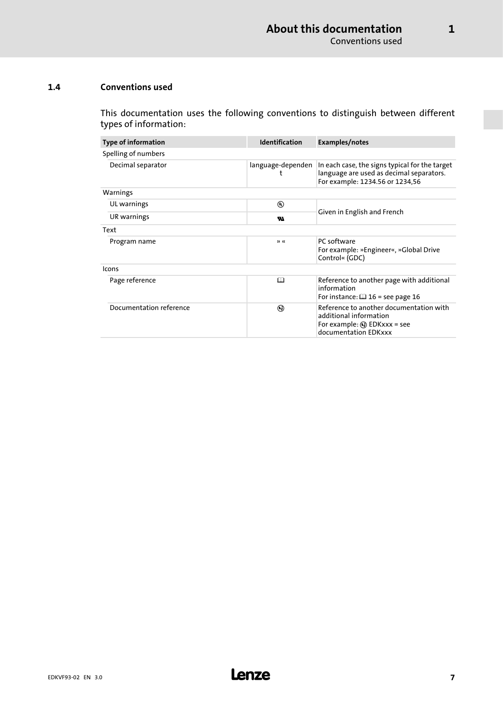[1](#page-4-0)

## <span id="page-6-0"></span>1.4 Conventions used

This documentation uses the following conventions to distinguish between different types of information:

| <b>Type of information</b> | <b>Identification</b> | Examples/notes                                                                                                                     |  |
|----------------------------|-----------------------|------------------------------------------------------------------------------------------------------------------------------------|--|
| Spelling of numbers        |                       |                                                                                                                                    |  |
| Decimal separator          | language-dependen     | In each case, the signs typical for the target<br>language are used as decimal separators.<br>For example: 1234.56 or 1234,56      |  |
| Warnings                   |                       |                                                                                                                                    |  |
| UL warnings                | $^{\circledR}$        |                                                                                                                                    |  |
| UR warnings                | w                     | Given in English and French                                                                                                        |  |
| Text                       |                       |                                                                                                                                    |  |
| Program name               | >                     | PC software<br>For example: »Engineer«, »Global Drive<br>Control« (GDC)                                                            |  |
| Icons                      |                       |                                                                                                                                    |  |
| Page reference             | ◫                     | Reference to another page with additional<br>information<br>For instance: $\Box$ 16 = see page 16                                  |  |
| Documentation reference    | ⊛                     | Reference to another documentation with<br>additional information<br>For example: $\mathbb Q$ EDKxxx = see<br>documentation EDKxxx |  |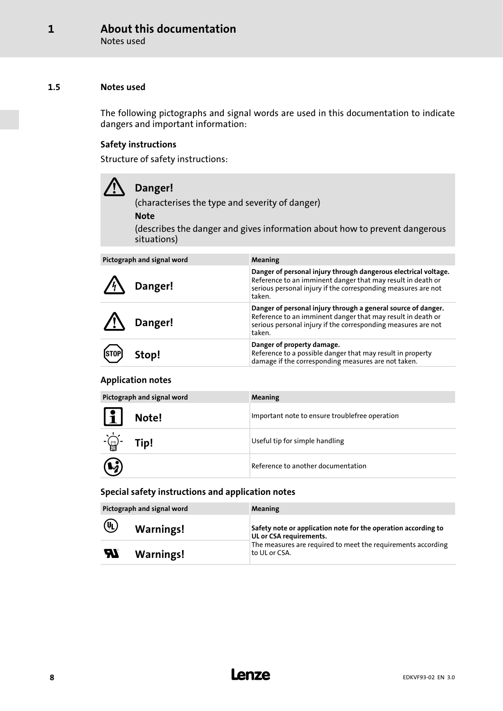Notes used

## <span id="page-7-0"></span>1.5 Notes used

The following pictographs and signal words are used in this documentation to indicate dangers and important information:

## Safety instructions

Structure of safety instructions:

| Danger!<br>(characterises the type and severity of danger)<br><b>Note</b><br>(describes the danger and gives information about how to prevent dangerous<br>situations) |                                                                                                                                                                                                           |  |  |  |  |
|------------------------------------------------------------------------------------------------------------------------------------------------------------------------|-----------------------------------------------------------------------------------------------------------------------------------------------------------------------------------------------------------|--|--|--|--|
|                                                                                                                                                                        |                                                                                                                                                                                                           |  |  |  |  |
| Pictograph and signal word                                                                                                                                             | <b>Meaning</b>                                                                                                                                                                                            |  |  |  |  |
| Danger!                                                                                                                                                                | Danger of personal injury through dangerous electrical voltage.<br>Reference to an imminent danger that may result in death or<br>serious personal injury if the corresponding measures are not<br>taken. |  |  |  |  |
| Danger!                                                                                                                                                                | Danger of personal injury through a general source of danger.<br>Reference to an imminent danger that may result in death or<br>serious personal injury if the corresponding measures are not<br>taken.   |  |  |  |  |
|                                                                                                                                                                        | Danger of property damage.                                                                                                                                                                                |  |  |  |  |

## Application notes

(STOP) Stop!

|                              | Pictograph and signal word | <b>Meaning</b>                                 |
|------------------------------|----------------------------|------------------------------------------------|
| $\lfloor \mathbf{i} \rfloor$ | Note!                      | Important note to ensure troublefree operation |
| $-\bigoplus_{i=1}^n$         | Tip!                       | Useful tip for simple handling                 |
| $\mathbf{G}$                 |                            | Reference to another documentation             |

Reference to a possible danger that may result in property damage if the corresponding measures are not taken.

## Special safety instructions and application notes

|                            | Pictograph and signal word | <b>Meaning</b>                                                                            |
|----------------------------|----------------------------|-------------------------------------------------------------------------------------------|
| $\left(\mathbf{U}\right)$  | <b>Warnings!</b>           | Safety note or application note for the operation according to<br>UL or CSA requirements. |
| $\boldsymbol{\mathcal{H}}$ | <b>Warnings!</b>           | The measures are required to meet the requirements according<br>to UL or CSA.             |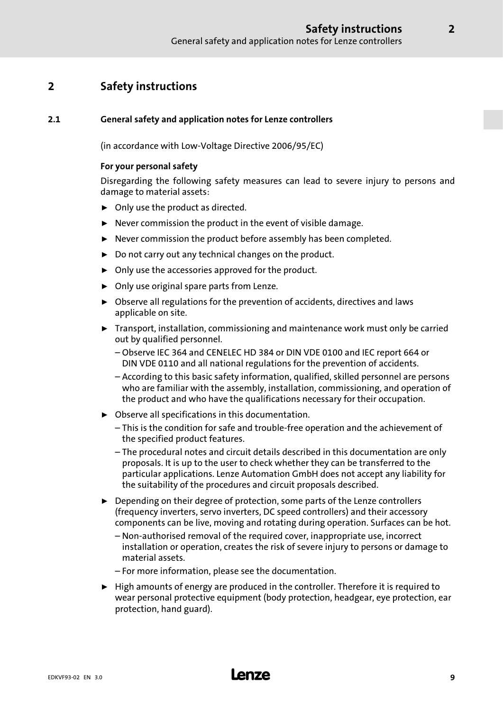## <span id="page-8-0"></span>2 Safety instructions

## 2.1 General safety and application notes for Lenze controllers

(in accordance with Low−Voltage Directive 2006/95/EC)

## For your personal safety

Disregarding the following safety measures can lead to severe injury to persons and damage to material assets:

- $\triangleright$  Only use the product as directed.
- $\blacktriangleright$  Never commission the product in the event of visible damage.
- $\blacktriangleright$  Never commission the product before assembly has been completed.
- $\triangleright$  Do not carry out any technical changes on the product.
- $\triangleright$  Only use the accessories approved for the product.
- $\triangleright$  Only use original spare parts from Lenze.
- $\triangleright$  Observe all regulations for the prevention of accidents, directives and laws applicable on site.
- $\blacktriangleright$  Transport, installation, commissioning and maintenance work must only be carried out by qualified personnel.
	- Observe IEC 364 and CENELEC HD 384 or DIN VDE 0100 and IEC report 664 or DIN VDE 0110 and all national regulations for the prevention of accidents.
	- According to this basic safety information, qualified, skilled personnel are persons who are familiar with the assembly, installation, commissioning, and operation of the product and who have the qualifications necessary for their occupation.
- $\triangleright$  Observe all specifications in this documentation.
	- This is the condition for safe and trouble−free operation and the achievement of the specified product features.
	- The procedural notes and circuit details described in this documentation are only proposals. It is up to the user to check whether they can be transferred to the particular applications. Lenze Automation GmbH does not accept any liability for the suitability of the procedures and circuit proposals described.
- ▶ Depending on their degree of protection, some parts of the Lenze controllers (frequency inverters, servo inverters, DC speed controllers) and their accessory components can be live, moving and rotating during operation. Surfaces can be hot.
	- Non−authorised removal of the required cover, inappropriate use, incorrect installation or operation, creates the risk of severe injury to persons or damage to material assets.
	- For more information, please see the documentation.
- $\blacktriangleright$  High amounts of energy are produced in the controller. Therefore it is required to wear personal protective equipment (body protection, headgear, eye protection, ear protection, hand guard).

## EDKVF93−02 EN 3.0 **Lenze**

2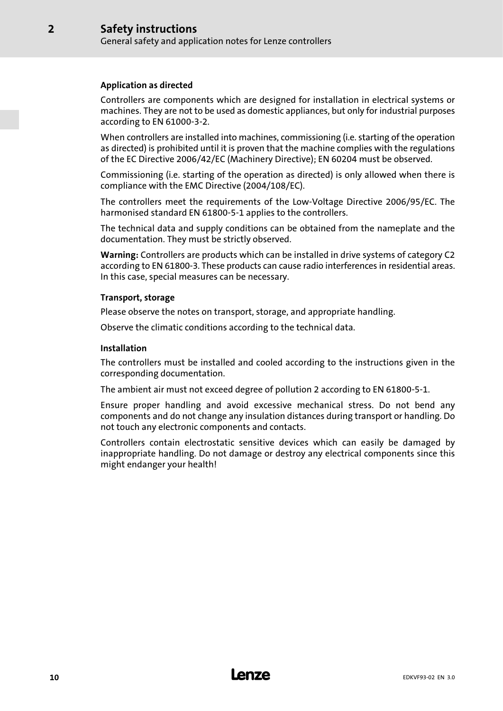## Application as directed

[2](#page-8-0)

Controllers are components which are designed for installation in electrical systems or machines. They are not to be used as domestic appliances, but only for industrial purposes according to EN 61000−3−2.

When controllers are installed into machines, commissioning (i.e. starting of the operation as directed) is prohibited until it is proven that the machine complies with the regulations of the EC Directive 2006/42/EC (Machinery Directive); EN 60204 must be observed.

Commissioning (i.e. starting of the operation as directed) is only allowed when there is compliance with the EMC Directive (2004/108/EC).

The controllers meet the requirements of the Low−Voltage Directive 2006/95/EC. The harmonised standard EN 61800−5−1 applies to the controllers.

The technical data and supply conditions can be obtained from the nameplate and the documentation. They must be strictly observed.

Warning: Controllers are products which can be installed in drive systems of category C2 according to EN 61800−3. These products can cause radio interferences in residential areas. In this case, special measures can be necessary.

## Transport, storage

Please observe the notes on transport, storage, and appropriate handling.

Observe the climatic conditions according to the technical data.

## Installation

The controllers must be installed and cooled according to the instructions given in the corresponding documentation.

The ambient air must not exceed degree of pollution 2 according to EN 61800−5−1.

Ensure proper handling and avoid excessive mechanical stress. Do not bend any components and do not change any insulation distances during transport or handling. Do not touch any electronic components and contacts.

Controllers contain electrostatic sensitive devices which can easily be damaged by inappropriate handling. Do not damage or destroy any electrical components since this might endanger your health!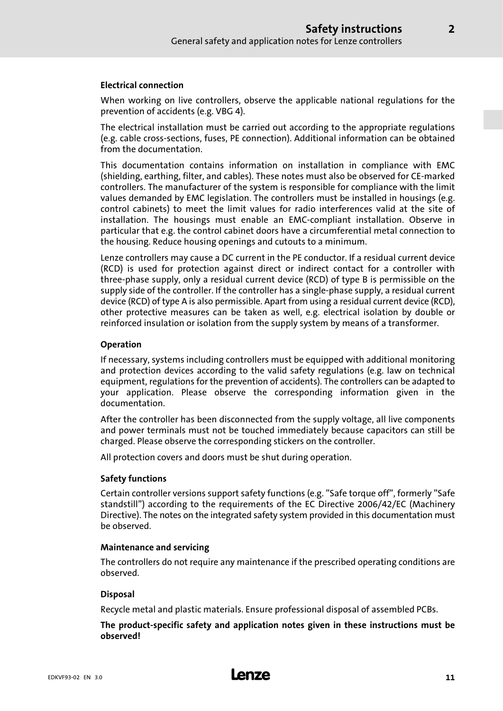## Electrical connection

When working on live controllers, observe the applicable national regulations for the prevention of accidents (e.g. VBG 4).

The electrical installation must be carried out according to the appropriate regulations (e.g. cable cross−sections, fuses, PE connection). Additional information can be obtained from the documentation.

This documentation contains information on installation in compliance with EMC (shielding, earthing, filter, and cables). These notes must also be observed for CE−marked controllers. The manufacturer of the system is responsible for compliance with the limit values demanded by EMC legislation. The controllers must be installed in housings (e.g. control cabinets) to meet the limit values for radio interferences valid at the site of installation. The housings must enable an EMC−compliant installation. Observe in particular that e.g. the control cabinet doors have a circumferential metal connection to the housing. Reduce housing openings and cutouts to a minimum.

Lenze controllers may cause a DC current in the PE conductor. If a residual current device (RCD) is used for protection against direct or indirect contact for a controller with three−phase supply, only a residual current device (RCD) of type B is permissible on the supply side of the controller. If the controller has a single−phase supply, a residual current device (RCD) of type A is also permissible. Apart from using a residual current device (RCD), other protective measures can be taken as well, e.g. electrical isolation by double or reinforced insulation or isolation from the supply system by means of a transformer.

## Operation

If necessary, systems including controllers must be equipped with additional monitoring and protection devices according to the valid safety regulations (e.g. law on technical equipment, regulations for the prevention of accidents). The controllers can be adapted to your application. Please observe the corresponding information given in the documentation.

After the controller has been disconnected from the supply voltage, all live components and power terminals must not be touched immediately because capacitors can still be charged. Please observe the corresponding stickers on the controller.

All protection covers and doors must be shut during operation.

## Safety functions

Certain controller versions support safety functions (e.g. "Safe torque off", formerly "Safe standstill") according to the requirements of the EC Directive 2006/42/EC (Machinery Directive). The notes on the integrated safety system provided in this documentation must be observed.

## Maintenance and servicing

The controllers do not require any maintenance if the prescribed operating conditions are observed.

## Disposal

Recycle metal and plastic materials. Ensure professional disposal of assembled PCBs.

The product−specific safety and application notes given in these instructions must be observed!

[2](#page-8-0)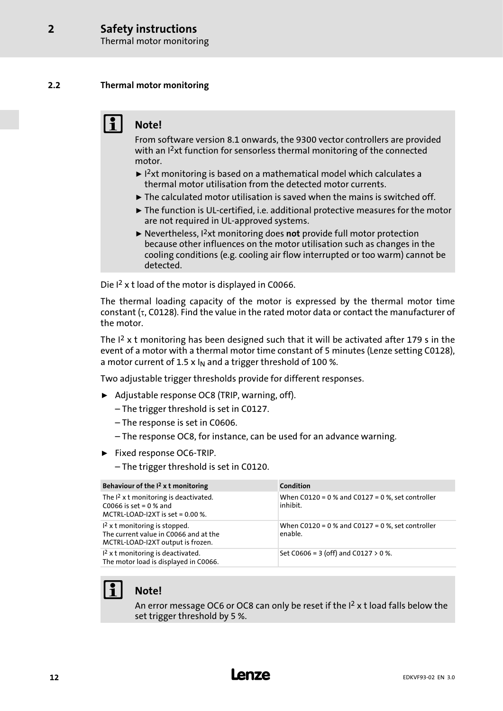Thermal motor monitoring

## <span id="page-11-0"></span>2.2 Thermal motor monitoring

## Note!

From software version 8.1 onwards, the 9300 vector controllers are provided with an I<sup>2</sup>xt function for sensorless thermal monitoring of the connected motor.

- $\blacktriangleright$  1<sup>2</sup>xt monitoring is based on a mathematical model which calculates a thermal motor utilisation from the detected motor currents.
- $\blacktriangleright$  The calculated motor utilisation is saved when the mains is switched off.
- ƒ The function is UL−certified, i.e. additional protective measures for the motor are not required in UL−approved systems.
- $\blacktriangleright$  Nevertheless, I<sup>2</sup>xt monitoring does not provide full motor protection because other influences on the motor utilisation such as changes in the cooling conditions (e.g. cooling air flow interrupted or too warm) cannot be detected.

Die I<sup>2</sup> x t load of the motor is displayed in C0066.

The thermal loading capacity of the motor is expressed by the thermal motor time constant (τ, C0128). Find the value in the rated motor data or contact the manufacturer of the motor.

The  $I<sup>2</sup>$  x t monitoring has been designed such that it will be activated after 179 s in the event of a motor with a thermal motor time constant of 5 minutes (Lenze setting C0128), a motor current of 1.5 x  $I_N$  and a trigger threshold of 100 %.

Two adjustable trigger thresholds provide for different responses.

- ▶ Adjustable response OC8 (TRIP, warning, off).
	- The trigger threshold is set in C0127.
	- The response is set in C0606.
	- The response OC8, for instance, can be used for an advance warning.
- ƒ Fixed response OC6−TRIP.
	- The trigger threshold is set in C0120.

| Behaviour of the $I2$ x t monitoring                                                                          | Condition                                                        |
|---------------------------------------------------------------------------------------------------------------|------------------------------------------------------------------|
| The $I^2$ x t monitoring is deactivated.<br>C0066 is set = $0%$ and<br>MCTRL-LOAD-I2XT is set = $0.00$ %.     | When $C0120 = 0$ % and $C0127 = 0$ %, set controller<br>inhibit. |
| $12$ x t monitoring is stopped.<br>The current value in C0066 and at the<br>MCTRL-LOAD-I2XT output is frozen. | When $C0120 = 0$ % and $C0127 = 0$ %, set controller<br>enable.  |
| $12$ x t monitoring is deactivated.<br>The motor load is displayed in C0066.                                  | Set C0606 = 3 (off) and C0127 $>$ 0 %.                           |



An error message OC6 or OC8 can only be reset if the  $I<sup>2</sup>$  x t load falls below the set trigger threshold by 5 %.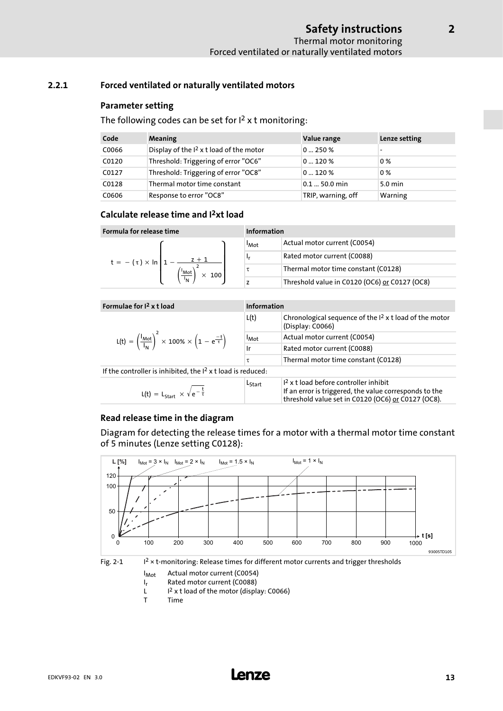## <span id="page-12-0"></span>2.2.1 Forced ventilated or naturally ventilated motors

## Parameter setting

The following codes can be set for  $I<sup>2</sup>$  x t monitoring:

| Code  | Meaning                                   | Value range        | Lenze setting |
|-------|-------------------------------------------|--------------------|---------------|
| C0066 | Display of the $I2$ x t load of the motor | 0250%              |               |
| C0120 | Threshold: Triggering of error "OC6"      | 0120%              | 0%            |
| C0127 | Threshold: Triggering of error "OC8"      | 0120%              | 0%            |
| C0128 | Thermal motor time constant               | $0.1 - 50.0$ min   | 5.0 min       |
| C0606 | Response to error "OC8"                   | TRIP, warning, off | Warning       |

## Calculate release time and I2xt load

| Formula for release time              |                          | Information                                   |  |
|---------------------------------------|--------------------------|-----------------------------------------------|--|
|                                       | <b>I</b> Mot             | Actual motor current (C0054)                  |  |
| $z + 1$<br>$t = -(\tau) \times \ln 1$ | ۱r                       | Rated motor current (C0088)                   |  |
| 'Mot<br>$\times$ 100                  |                          | Thermal motor time constant (C0128)           |  |
| $\overline{I_{N}}$                    | $\overline{\phantom{a}}$ | Threshold value in C0120 (OC6) or C0127 (OC8) |  |

| Formulae for $I2$ x t load                                                                                   | <b>Information</b>          |                                                                                                                                                         |
|--------------------------------------------------------------------------------------------------------------|-----------------------------|---------------------------------------------------------------------------------------------------------------------------------------------------------|
|                                                                                                              | L(t)                        | Chronological sequence of the $I2$ x t load of the motor<br>(Display: C0066)                                                                            |
| $L(t) = \left(\frac{I_{Mot}}{I_{M}}\right)^{2} \times 100\% \times \left(1 - e^{\frac{-t}{\tau}}\right)^{2}$ | $\mathsf{I}_{\mathsf{Mot}}$ | Actual motor current (C0054)                                                                                                                            |
|                                                                                                              | Ir                          | Rated motor current (C0088)                                                                                                                             |
|                                                                                                              | τ                           | Thermal motor time constant (C0128)                                                                                                                     |
| If the controller is inhibited, the $I2$ x t load is reduced:                                                |                             |                                                                                                                                                         |
| $L(t) = L_{start} \times \sqrt{e^{-\frac{t}{\tau}}}$                                                         | Lstart                      | $12$ x t load before controller inhibit<br>If an error is triggered, the value corresponds to the<br>threshold value set in C0120 (OC6) or C0127 (OC8). |

## Read release time in the diagram

Diagram for detecting the release times for a motor with a thermal motor time constant of 5 minutes (Lenze setting C0128):





- $I_r$  Rated motor current (C0088)<br>L  $I^2$  x t load of the motor (displa L  $I^2 \times t$  load of the motor (display: C0066)<br>
T Time
	- **Time**

[2](#page-8-0)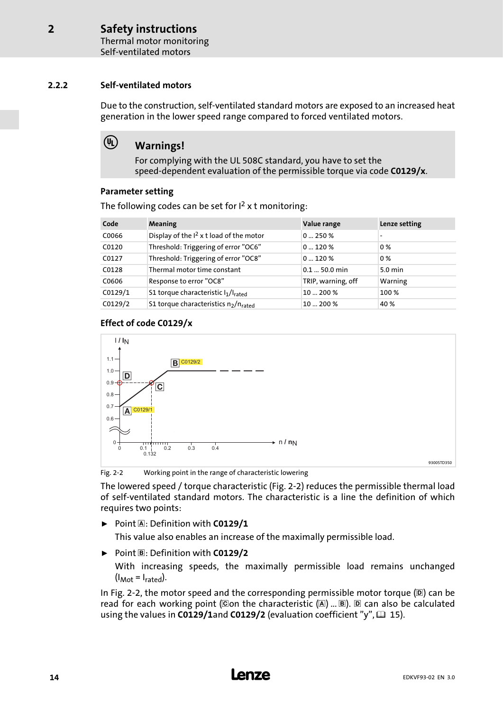Thermal motor monitoring Self−ventilated motors

## <span id="page-13-0"></span>2.2.2 Self−ventilated motors

 $\left(\overline{\Psi}\right)$ 

Due to the construction, self−ventilated standard motors are exposed to an increased heat generation in the lower speed range compared to forced ventilated motors.

## Warnings!

For complying with the UL 508C standard, you have to set the speed−dependent evaluation of the permissible torque via code C0129/x.

## Parameter setting

| Code    | <b>Meaning</b>                                               | Value range        | Lenze setting     |
|---------|--------------------------------------------------------------|--------------------|-------------------|
| C0066   | Display of the I <sup>2</sup> x t load of the motor          | 0250%              |                   |
| C0120   | Threshold: Triggering of error "OC6"                         | 0120%              | $0\%$             |
| C0127   | Threshold: Triggering of error "OC8"                         | 0120%              | $0\%$             |
| C0128   | Thermal motor time constant                                  | $0.150.0$ min      | $5.0 \text{ min}$ |
| C0606   | Response to error "OC8"                                      | TRIP, warning, off | Warning           |
| CO129/1 | S1 torque characteristic l1/lrated                           | 10  200 %          | 100 %             |
| CO129/2 | S1 torque characteristics n <sub>2</sub> /n <sub>rated</sub> | 10  200 %          | 40 %              |

The following codes can be set for  $I<sup>2</sup>$  x t monitoring:

## Effect of code C0129/x



Fig. 2−2 Working point in the range of characteristic lowering

The lowered speed / torque characteristic (Fig. 2−2) reduces the permissible thermal load of self−ventilated standard motors. The characteristic is a line the definition of which requires two points:

 $\triangleright$  Point A: Definition with C0129/1

This value also enables an increase of the maximally permissible load.

 $\triangleright$  Point  $\mathbb{B}$ : Definition with C0129/2

With increasing speeds, the maximally permissible load remains unchanged  $(I_{Mot} = I_{\text{rated}}).$ 

In Fig. 2-2, the motor speed and the corresponding permissible motor torque (D) can be read for each working point (Con the characteristic  $(\mathbb{A})$  ...  $\mathbb{B}$ ).  $\mathbb{D}$  can also be calculated using the values in C0129/1and C0129/2 (evaluation coefficient "y",  $\Box$  [15](#page-14-0)).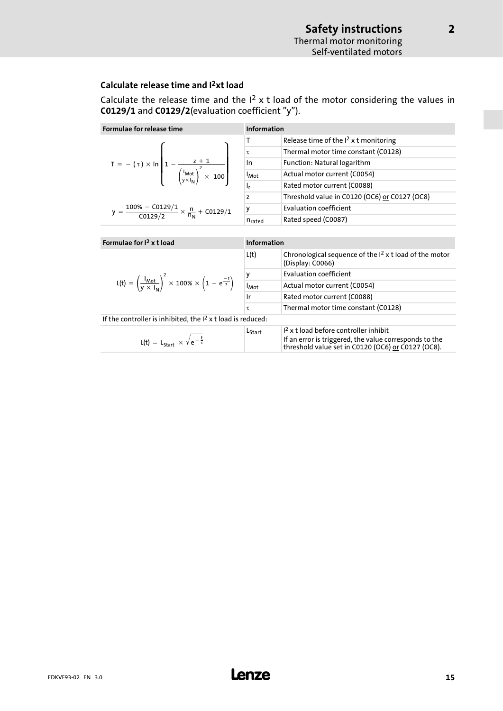[2](#page-8-0)

## <span id="page-14-0"></span>Calculate release time and I2xt load

Calculate the release time and the  $I^2$  x t load of the motor considering the values in C0129/1 and C0129/2(evaluation coefficient "y").

| Formulae for release time                                                                                                      | <b>Information</b>      |                                                                              |  |
|--------------------------------------------------------------------------------------------------------------------------------|-------------------------|------------------------------------------------------------------------------|--|
|                                                                                                                                | Τ                       | Release time of the $I2$ x t monitoring                                      |  |
|                                                                                                                                | τ                       | Thermal motor time constant (C0128)                                          |  |
| T = $- (\tau) \times \ln \left[ 1 - \frac{z + 1}{\left( \frac{I_{Mot}}{y \times I_N} \right)^2 \times 100} \right]$            | In                      | Function: Natural logarithm                                                  |  |
|                                                                                                                                | <b>I</b> <sub>Mot</sub> | Actual motor current (C0054)                                                 |  |
|                                                                                                                                | ı,                      | Rated motor current (C0088)                                                  |  |
|                                                                                                                                | z                       | Threshold value in C0120 (OC6) or C0127 (OC8)                                |  |
| y = $\frac{100\% - C0129/1}{C0129/2} \times \frac{n}{n_N} + C0129/1$                                                           | y                       | <b>Evaluation coefficient</b>                                                |  |
|                                                                                                                                | $n_{\rm{rated}}$        | Rated speed (C0087)                                                          |  |
|                                                                                                                                |                         |                                                                              |  |
|                                                                                                                                | <b>Information</b>      |                                                                              |  |
| Formulae for $I2$ x t load                                                                                                     |                         |                                                                              |  |
|                                                                                                                                | L(t)                    | Chronological sequence of the $I2$ x t load of the motor<br>(Display: C0066) |  |
|                                                                                                                                |                         | <b>Evaluation coefficient</b>                                                |  |
| L(t) = $\left(\frac{I_{\text{Mot}}}{V \times I_{\text{bl}}}\right)^2 \times 100\% \times \left(1 - e^{\frac{-t}{\tau}}\right)$ | -<br>I <sub>Mot</sub>   | Actual motor current (C0054)                                                 |  |
|                                                                                                                                | Ir                      | Rated motor current (C0088)                                                  |  |
|                                                                                                                                | τ                       | Thermal motor time constant (C0128)                                          |  |
| If the controller is inhibited, the $12$ x t load is reduced:                                                                  |                         |                                                                              |  |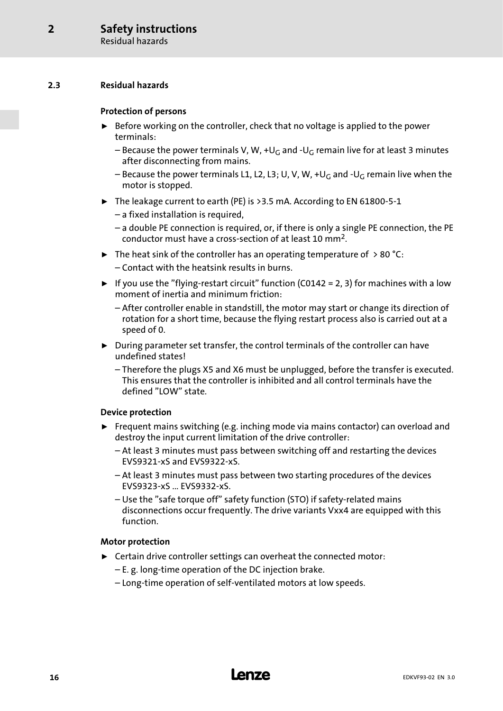## <span id="page-15-0"></span>2.3 Residual hazards

## Protection of persons

- $\triangleright$  Before working on the controller, check that no voltage is applied to the power terminals:
	- Because the power terminals V, W, +U<sub>G</sub> and -U<sub>G</sub> remain live for at least 3 minutes after disconnecting from mains.
	- Because the power terminals L1, L2, L3; U, V, W, +UG and −UG remain live when the motor is stopped.
- ƒ The leakage current to earth (PE) is >3.5 mA. According to EN 61800−5−1
	- a fixed installation is required,
	- a double PE connection is required, or, if there is only a single PE connection, the PE conductor must have a cross−section of at least 10 mm2.
- $\blacktriangleright$  The heat sink of the controller has an operating temperature of  $> 80$  °C: – Contact with the heatsink results in burns.
- ► If you use the "flying-restart circuit" function (C0142 = 2, 3) for machines with a low moment of inertia and minimum friction:
	- After controller enable in standstill, the motor may start or change its direction of rotation for a short time, because the flying restart process also is carried out at a speed of 0.
- $\triangleright$  During parameter set transfer, the control terminals of the controller can have undefined states!
	- Therefore the plugs X5 and X6 must be unplugged, before the transfer is executed. This ensures that the controller is inhibited and all control terminals have the defined "LOW" state.

## Device protection

- $\blacktriangleright$  Frequent mains switching (e.g. inching mode via mains contactor) can overload and destroy the input current limitation of the drive controller:
	- At least 3 minutes must pass between switching off and restarting the devices EVS9321−xS and EVS9322−xS.
	- At least 3 minutes must pass between two starting procedures of the devices EVS9323−xS ... EVS9332−xS.
	- Use the "safe torque off" safety function (STO) if safety−related mains disconnections occur frequently. The drive variants Vxx4 are equipped with this function.

## Motor protection

- $\blacktriangleright$  Certain drive controller settings can overheat the connected motor:
	- E. g. long−time operation of the DC injection brake.
	- Long−time operation of self−ventilated motors at low speeds.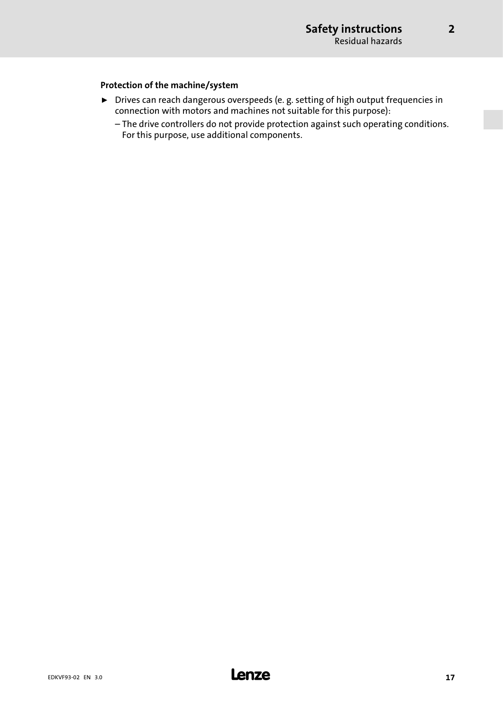[2](#page-8-0)

## Protection of the machine/system

- ▶ Drives can reach dangerous overspeeds (e. g. setting of high output frequencies in connection with motors and machines not suitable for this purpose):
	- The drive controllers do not provide protection against such operating conditions. For this purpose, use additional components.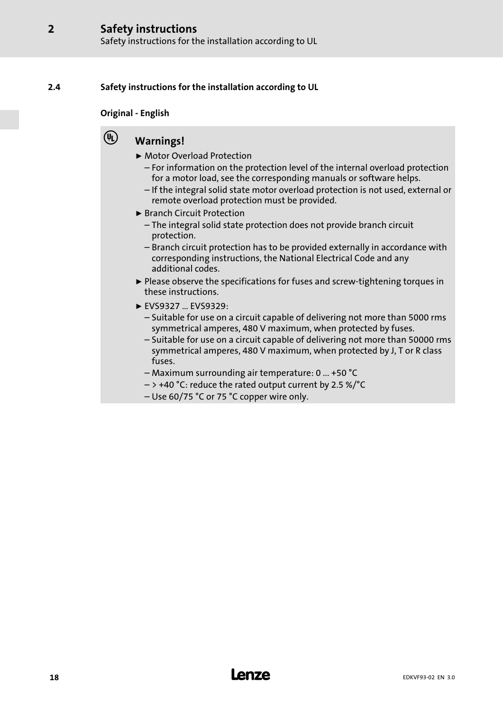## <span id="page-17-0"></span>2.4 Safety instructions for the installation according to UL

### Original − English

### $\left(\overline{\Psi}\right)$ Warnings!

- ▶ Motor Overload Protection
	- For information on the protection level of the internal overload protection for a motor load, see the corresponding manuals or software helps.
	- If the integral solid state motor overload protection is not used, external or remote overload protection must be provided.
- ▶ Branch Circuit Protection
	- The integral solid state protection does not provide branch circuit protection.
	- Branch circuit protection has to be provided externally in accordance with corresponding instructions, the National Electrical Code and any additional codes.
- ƒ Please observe the specifications for fuses and screw−tightening torques in these instructions.
- $\blacktriangleright$  EVS9327 ... EVS9329:
	- Suitable for use on a circuit capable of delivering not more than 5000 rms symmetrical amperes, 480 V maximum, when protected by fuses.
	- Suitable for use on a circuit capable of delivering not more than 50000 rms symmetrical amperes, 480 V maximum, when protected by J, T or R class fuses.
	- Maximum surrounding air temperature: 0 ... +50 °C
	- $-$  > +40 °C: reduce the rated output current by 2.5 %/°C
	- Use 60/75 °C or 75 °C copper wire only.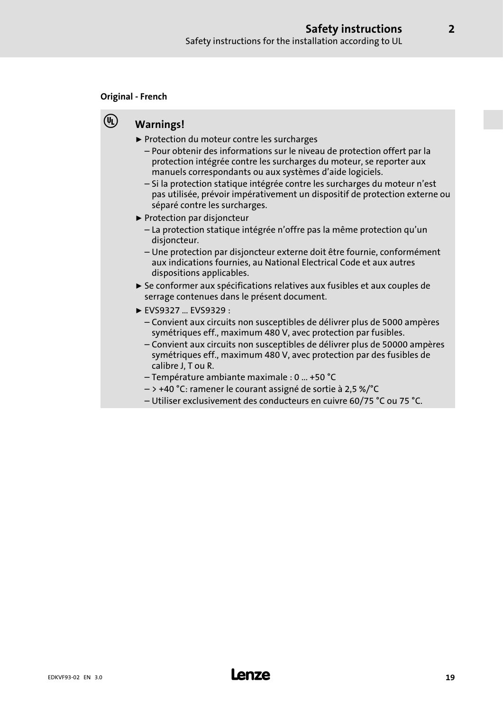### Original − French

 $(\mathbf{V_L})$ 

## Warnings!

- ▶ Protection du moteur contre les surcharges
	- Pour obtenir des informations sur le niveau de protection offert par la protection intégrée contre les surcharges du moteur, se reporter aux manuels correspondants ou aux systèmes d'aide logiciels.
	- Si la protection statique intégrée contre les surcharges du moteur n'est pas utilisée, prévoir impérativement un dispositif de protection externe ou séparé contre les surcharges.
- ▶ Protection par disjoncteur
	- La protection statique intégrée n'offre pas la même protection qu'un disjoncteur.
	- Une protection par disjoncteur externe doit être fournie, conformément aux indications fournies, au National Electrical Code et aux autres dispositions applicables.
- ► Se conformer aux spécifications relatives aux fusibles et aux couples de serrage contenues dans le présent document.
- ► EVS9327 ... EVS9329 :
	- Convient aux circuits non susceptibles de délivrer plus de 5000 ampères symétriques eff., maximum 480 V, avec protection par fusibles.
	- Convient aux circuits non susceptibles de délivrer plus de 50000 ampères symétriques eff., maximum 480 V, avec protection par des fusibles de calibre J, T ou R.
	- Température ambiante maximale : 0 ... +50 °C
	- > +40 °C: ramener le courant assigné de sortie à 2,5 %/°C
	- Utiliser exclusivement des conducteurs en cuivre 60/75 °C ou 75 °C.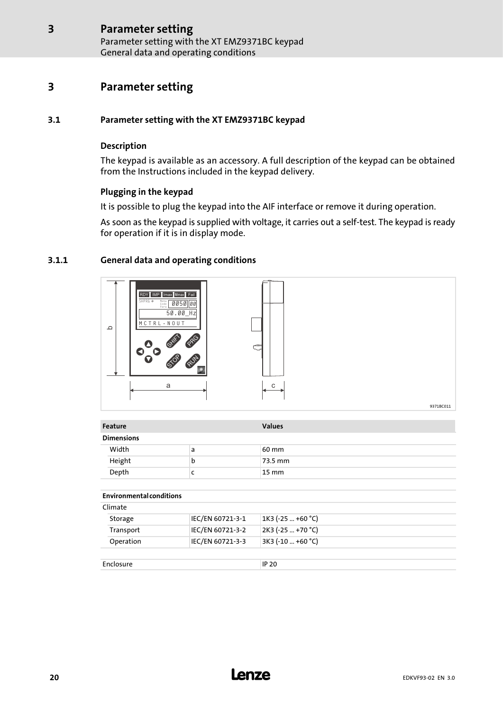Parameter setting with the XT EMZ9371BC keypad General data and operating conditions

## <span id="page-19-0"></span>3 Parameter setting

## 3.1 Parameter setting with the XT EMZ9371BC keypad

## Description

The keypad is available as an accessory. A full description of the keypad can be obtained from the Instructions included in the keypad delivery.

## Plugging in the keypad

It is possible to plug the keypad into the AIF interface or remove it during operation.

As soon as the keypad is supplied with voltage, it carries out a self−test. The keypad is ready for operation if it is in display mode.

## 3.1.1 General data and operating conditions



| Feature                         |                  | <b>Values</b>       |
|---------------------------------|------------------|---------------------|
| <b>Dimensions</b>               |                  |                     |
| Width                           | a                | 60 mm               |
| Height                          | b                | 73.5 mm             |
| Depth                           | c                | $15 \text{ mm}$     |
| <b>Environmental conditions</b> |                  |                     |
|                                 |                  |                     |
|                                 |                  |                     |
| Climate<br>Storage              | IEC/EN 60721-3-1 | $1K3$ (-25  +60 °C) |
| Transport                       | IEC/EN 60721-3-2 | 2K3 (-25  +70 °C)   |

Enclosure IP 20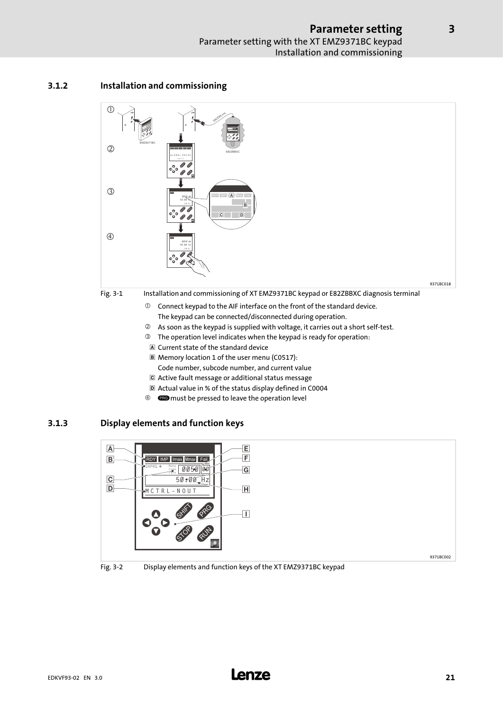## <span id="page-20-0"></span>3.1.2 Installation and commissioning



- Current state of the standard device
- Memory location 1 of the user menu (C0517): Code number, subcode number, and current value
- Active fault message or additional status message
- Actual value in % of the status display defined in C0004
- <sup>4</sup> **EXP** must be pressed to leave the operation level

## 3.1.3 Display elements and function keys





[3](#page-19-0)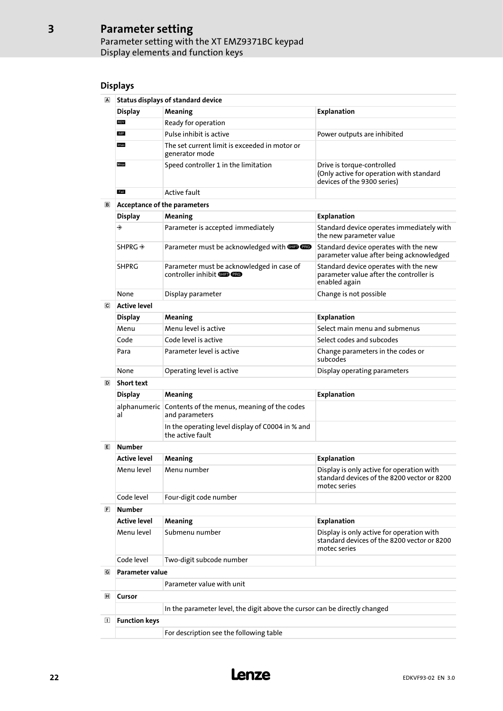## Parameter setting Parameter setting with the XT EMZ9371BC keypad Display elements and function keys

## Displays

| Status displays of standard device |                                                                 |                                                                                                       |  |
|------------------------------------|-----------------------------------------------------------------|-------------------------------------------------------------------------------------------------------|--|
| <b>Display</b>                     | Meaning                                                         | Explanation                                                                                           |  |
| <b>RDY</b>                         | Ready for operation                                             |                                                                                                       |  |
| IMP                                | Pulse inhibit is active                                         | Power outputs are inhibited                                                                           |  |
| Imax                               | The set current limit is exceeded in motor or<br>generator mode |                                                                                                       |  |
| Mmax                               | Speed controller 1 in the limitation                            | Drive is torque-controlled<br>(Only active for operation with standard<br>devices of the 9300 series) |  |
| Fail                               | Active fault                                                    |                                                                                                       |  |

### Acceptance of the parameters

| Acceptance of the parameters |                                                                                |                                                                                                   |
|------------------------------|--------------------------------------------------------------------------------|---------------------------------------------------------------------------------------------------|
| <b>Display</b>               | <b>Meaning</b>                                                                 | Explanation                                                                                       |
| ◈                            | Parameter is accepted immediately                                              | Standard device operates immediately with<br>the new parameter value                              |
| $SHPRG \rightarrow$          | Parameter must be acknowledged with <b>SID CRO</b>                             | Standard device operates with the new<br>parameter value after being acknowledged                 |
| SHPRG                        | Parameter must be acknowledged in case of<br>controller inhibit <b>SID CRO</b> | Standard device operates with the new<br>parameter value after the controller is<br>enabled again |
| None                         | Display parameter                                                              | Change is not possible                                                                            |
|                              |                                                                                |                                                                                                   |

### $\overline{\mathbf{c}}$

| Active level   |                           |                                               |  |
|----------------|---------------------------|-----------------------------------------------|--|
| <b>Display</b> | Meaning                   | Explanation                                   |  |
| Menu           | Menu level is active      | Select main menu and submenus                 |  |
| Code           | Code level is active      | Select codes and subcodes                     |  |
| Para           | Parameter level is active | Change parameters in the codes or<br>subcodes |  |
| None           | Operating level is active | Display operating parameters                  |  |

### D Short text

|  | <b>SHOLL LEXL</b> |                                                                            |                    |  |
|--|-------------------|----------------------------------------------------------------------------|--------------------|--|
|  | <b>Display</b>    | <b>Meaning</b>                                                             | <b>Explanation</b> |  |
|  | al                | alphanumeric Contents of the menus, meaning of the codes<br>and parameters |                    |  |
|  |                   | In the operating level display of C0004 in % and<br>the active fault       |                    |  |

### Number

| <b>Active level</b> | Meaning                | Explanation                                                                                              |  |
|---------------------|------------------------|----------------------------------------------------------------------------------------------------------|--|
| Menu level          | Menu number            | Display is only active for operation with<br>standard devices of the 8200 vector or 8200<br>motec series |  |
| Code level          | Four-digit code number |                                                                                                          |  |
| .                   |                        |                                                                                                          |  |

### Number

|   | <b>Active level</b>    | <b>Meaning</b>            | Explanation                                                                                              |  |
|---|------------------------|---------------------------|----------------------------------------------------------------------------------------------------------|--|
|   | Menu level             | Submenu number            | Display is only active for operation with<br>standard devices of the 8200 vector or 8200<br>motec series |  |
|   | Code level             | Two-digit subcode number  |                                                                                                          |  |
| G | <b>Parameter value</b> |                           |                                                                                                          |  |
|   |                        | Parameter value with unit |                                                                                                          |  |
| н | Cursor                 |                           |                                                                                                          |  |

### In the parameter level, the digit above the cursor can be directly changed

## Function keys

For description see the following table

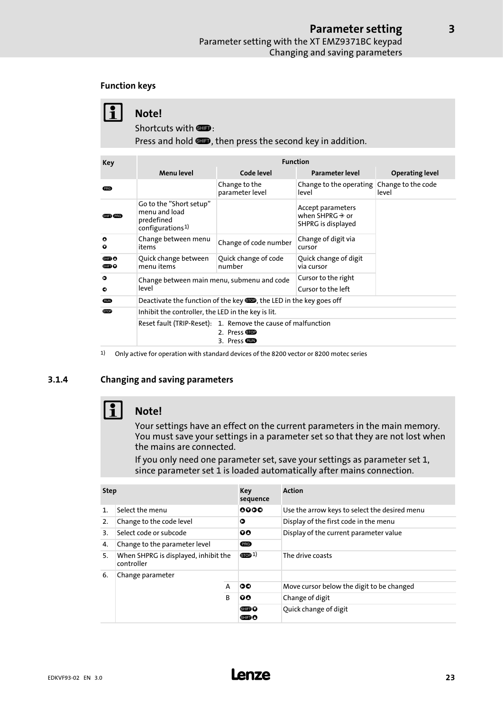## <span id="page-22-0"></span>Function keys

|                    | Note!<br>Shortcuts with <b>SHD</b> :<br>Press and hold <b>SID</b> , then press the second key in addition. |                                  |                                                                        |                             |
|--------------------|------------------------------------------------------------------------------------------------------------|----------------------------------|------------------------------------------------------------------------|-----------------------------|
|                    |                                                                                                            |                                  |                                                                        |                             |
| Key                |                                                                                                            | <b>Function</b>                  |                                                                        |                             |
|                    | <b>Menulevel</b>                                                                                           | Code level                       | Parameter level                                                        | <b>Operating level</b>      |
| (RG)               |                                                                                                            | Change to the<br>parameter level | Change to the operating<br>level                                       | Change to the code<br>level |
| <b>SHIED (PRG)</b> | Go to the "Short setup"<br>menu and load<br>predefined<br>confionrational                                  |                                  | Accept parameters<br>when SHPRG $\rightarrow$ or<br>SHPRG is displayed |                             |

|                        | picacilica<br>configurations <sup>1)</sup>                                  |                                                                                               | SHPRG is displayed                  |
|------------------------|-----------------------------------------------------------------------------|-----------------------------------------------------------------------------------------------|-------------------------------------|
| $\bullet$<br>$\bullet$ | Change between menu<br>items                                                | Change of code number                                                                         | Change of digit via<br>cursor       |
| ▥◑<br>▥◑               | Quick change between<br>Quick change of code<br>number<br>menu items        |                                                                                               | Quick change of digit<br>via cursor |
| $\bullet$<br>$\bullet$ | Change between main menu, submenu and code<br>level                         | Cursor to the right<br>Cursor to the left                                                     |                                     |
| <b>RUN</b>             | Deactivate the function of the key <b>SOD</b> , the LED in the key goes off |                                                                                               |                                     |
| <b>STOP</b>            | Inhibit the controller, the LED in the key is lit.                          |                                                                                               |                                     |
|                        |                                                                             | Reset fault (TRIP-Reset): 1. Remove the cause of malfunction<br>2. Press STOP<br>3. Press COD |                                     |

1) Only active for operation with standard devices of the 8200 vector or 8200 motec series

## 3.1.4 Changing and saving parameters



Your settings have an effect on the current parameters in the main memory. You must save your settings in a parameter set so that they are not lost when the mains are connected.

If you only need one parameter set, save your settings as parameter set 1, since parameter set 1 is loaded automatically after mains connection.

| <b>Step</b>    |                                                    | Key<br>sequence | <b>Action</b>         |                                               |
|----------------|----------------------------------------------------|-----------------|-----------------------|-----------------------------------------------|
| $\mathbf{1}$ . | Select the menu                                    |                 | 0000                  | Use the arrow keys to select the desired menu |
| 2.             | Change to the code level                           |                 | Ο                     | Display of the first code in the menu         |
| 3.             | Select code or subcode                             |                 | 90                    | Display of the current parameter value        |
| 4.             | Change to the parameter level                      |                 | <b>PRG</b>            |                                               |
| 5.             | When SHPRG is displayed, inhibit the<br>controller |                 | $S$ TOP $1)$          | The drive coasts                              |
| 6.             | Change parameter                                   |                 |                       |                                               |
|                |                                                    | A               | 00                    | Move cursor below the digit to be changed     |
|                |                                                    | <sub>R</sub>    | 00                    | Change of digit                               |
|                |                                                    | 6⊞D 0<br>G⊞D O  | Quick change of digit |                                               |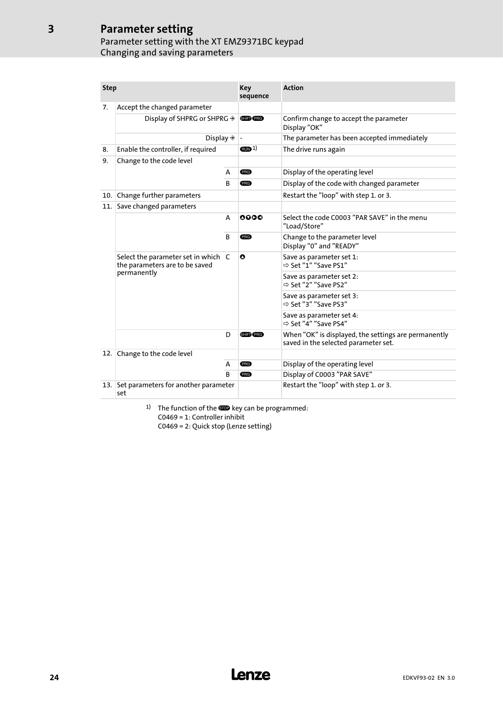## Parameter setting Parameter setting with the XT EMZ9371BC keypad Changing and saving parameters

| <b>Step</b> |                                                                       |   | Key<br>sequence   | <b>Action</b>                                                                                |
|-------------|-----------------------------------------------------------------------|---|-------------------|----------------------------------------------------------------------------------------------|
| 7.          | Accept the changed parameter                                          |   |                   |                                                                                              |
|             | Display of SHPRG or SHPRG $\rightarrow$                               |   | <b>SHIED PRG</b>  | Confirm change to accept the parameter<br>Display "OK"                                       |
|             | Display $\Rightarrow$                                                 |   |                   | The parameter has been accepted immediately                                                  |
| 8.          | Enable the controller, if required                                    |   | (m <sub>1</sub> ) | The drive runs again                                                                         |
| 9.          | Change to the code level                                              |   |                   |                                                                                              |
|             |                                                                       |   | <b>PRG</b>        | Display of the operating level                                                               |
|             |                                                                       |   | <b>PRG</b>        | Display of the code with changed parameter                                                   |
| 10.1        | Change further parameters                                             |   |                   | Restart the "loop" with step 1. or 3.                                                        |
| 11.         | Save changed parameters                                               |   |                   |                                                                                              |
|             |                                                                       | A | 0000              | Select the code C0003 "PAR SAVE" in the menu<br>"Load/Store"                                 |
|             |                                                                       | B | <b>PRG</b>        | Change to the parameter level<br>Display "0" and "READY"                                     |
|             | Select the parameter set in which C<br>the parameters are to be saved |   | O                 | Save as parameter set 1:<br>⇒ Set "1" "Save PS1"                                             |
|             | permanently                                                           |   |                   | Save as parameter set 2:<br>⇒ Set "2" "Save PS2"                                             |
|             |                                                                       |   |                   | Save as parameter set 3:<br>⇒ Set "3" "Save PS3"                                             |
|             |                                                                       |   |                   | Save as parameter set 4:<br>⇒ Set "4" "Save PS4"                                             |
|             |                                                                       | D | SHIFT PRG         | When "OK" is displayed, the settings are permanently<br>saved in the selected parameter set. |
| 12.         | Change to the code level                                              |   |                   |                                                                                              |
|             |                                                                       | A | <b>PRG</b>        | Display of the operating level                                                               |
|             |                                                                       | B | <b>PRG</b>        | Display of C0003 "PAR SAVE"                                                                  |
| 13.1        | Set parameters for another parameter<br>set                           |   |                   | Restart the "loop" with step 1. or 3.                                                        |

1) The function of the  $\blacksquare$  key can be programmed: C0469 = 1: Controller inhibit C0469 = 2: Quick stop (Lenze setting)

## 24 **Lenze**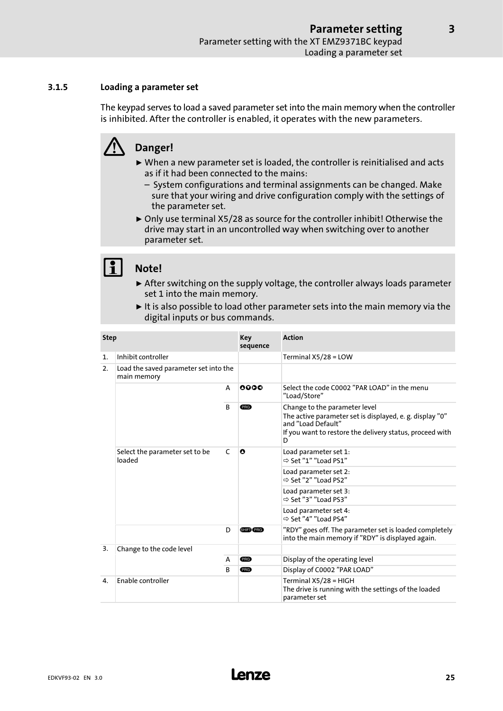## <span id="page-24-0"></span>3.1.5 Loading a parameter set

The keypad serves to load a saved parameter set into the main memory when the controller is inhibited. After the controller is enabled, it operates with the new parameters.

## Danger!

- $\triangleright$  When a new parameter set is loaded, the controller is reinitialised and acts as if it had been connected to the mains:
	- System configurations and terminal assignments can be changed. Make sure that your wiring and drive configuration comply with the settings of the parameter set.
- ▶ Only use terminal X5/28 as source for the controller inhibit! Otherwise the drive may start in an uncontrolled way when switching over to another parameter set.

## Note!

- $\triangleright$  After switching on the supply voltage, the controller always loads parameter set 1 into the main memory.
- $\blacktriangleright$  It is also possible to load other parameter sets into the main memory via the digital inputs or bus commands.

| <b>Step</b>  |                                                      | Key<br>sequence | <b>Action</b>    |                                                                                                                                                                                  |
|--------------|------------------------------------------------------|-----------------|------------------|----------------------------------------------------------------------------------------------------------------------------------------------------------------------------------|
| 1.           | Inhibit controller                                   |                 |                  | Terminal $X5/28 = LOW$                                                                                                                                                           |
| 2.           | Load the saved parameter set into the<br>main memory |                 |                  |                                                                                                                                                                                  |
|              |                                                      | A               | 0000             | Select the code C0002 "PAR LOAD" in the menu<br>"Load/Store"                                                                                                                     |
|              | <sub>B</sub>                                         |                 | PRG              | Change to the parameter level<br>The active parameter set is displayed, e. g. display "0"<br>and "Load Default"<br>If you want to restore the delivery status, proceed with<br>D |
|              | Select the parameter set to be<br>loaded             |                 | O                | Load parameter set 1:<br>$\Rightarrow$ Set "1" "Load PS1"                                                                                                                        |
|              |                                                      |                 |                  | Load parameter set 2:<br>⇒ Set "2" "Load PS2"                                                                                                                                    |
|              |                                                      |                 |                  | Load parameter set 3:<br>$\Rightarrow$ Set "3" "Load PS3"                                                                                                                        |
|              |                                                      |                 |                  | Load parameter set 4:<br>$\Rightarrow$ Set "4" "Load PS4"                                                                                                                        |
|              |                                                      | D               | <b>SHIFT</b> PRG | "RDY" goes off. The parameter set is loaded completely<br>into the main memory if "RDY" is displayed again.                                                                      |
| 3.           | Change to the code level<br>A<br>B                   |                 |                  |                                                                                                                                                                                  |
|              |                                                      |                 | PRG              | Display of the operating level                                                                                                                                                   |
|              |                                                      |                 | (PRG)            | Display of C0002 "PAR LOAD"                                                                                                                                                      |
| $\mathbf{4}$ | <b>Fnable controller</b>                             |                 |                  | Terminal X5/28 = HIGH                                                                                                                                                            |
|              |                                                      |                 |                  | The drive is running with the settings of the loaded<br>parameter set                                                                                                            |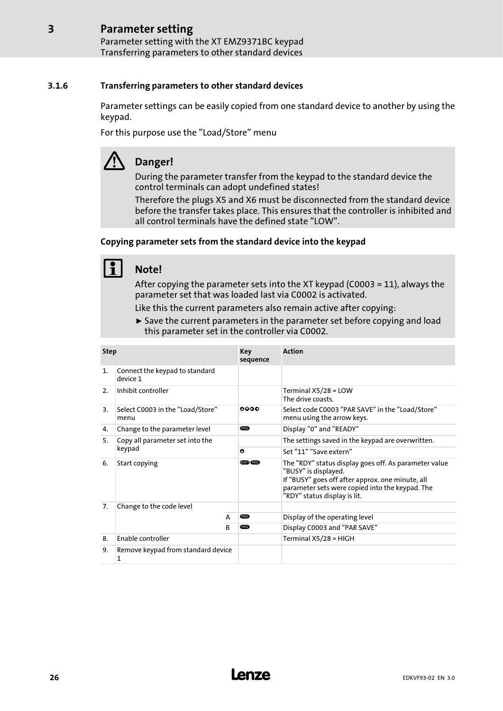### <span id="page-25-0"></span>Parameter setting [3](#page-19-0)

Parameter setting with the XT EMZ9371BC keypad Transferring parameters to other standard devices

## 3.1.6 Transferring parameters to other standard devices

Parameter settings can be easily copied from one standard device to another by using the keypad.

For this purpose use the "Load/Store" menu

## Danger!

During the parameter transfer from the keypad to the standard device the control terminals can adopt undefined states!

Therefore the plugs X5 and X6 must be disconnected from the standard device before the transfer takes place. This ensures that the controller is inhibited and all control terminals have the defined state "LOW".

## Copying parameter sets from the standard device into the keypad

## Note!

After copying the parameter sets into the XT keypad (C0003 = 11), always the parameter set that was loaded last via C0002 is activated.

Like this the current parameters also remain active after copying:

 $\triangleright$  Save the current parameters in the parameter set before copying and load this parameter set in the controller via C0002.

| <b>Step</b>    |                                            |   | Key<br>sequence | <b>Action</b>                                                                                                                                                                                                        |  |
|----------------|--------------------------------------------|---|-----------------|----------------------------------------------------------------------------------------------------------------------------------------------------------------------------------------------------------------------|--|
| $\mathbf{1}$ . | Connect the keypad to standard<br>device 1 |   |                 |                                                                                                                                                                                                                      |  |
| 2.             | Inhibit controller                         |   |                 | Terminal $X5/28 = LOW$<br>The drive coasts.                                                                                                                                                                          |  |
| 3.             | Select C0003 in the "Load/Store"<br>menu   |   | 0000            | Select code C0003 "PAR SAVE" in the "Load/Store"<br>menu using the arrow keys.                                                                                                                                       |  |
| 4.             | Change to the parameter level              |   | <b>ERG</b>      | Display "0" and "READY"                                                                                                                                                                                              |  |
| 5.             | Copy all parameter set into the            |   |                 | The settings saved in the keypad are overwritten.                                                                                                                                                                    |  |
|                | keypad                                     |   | $\bullet$       | Set "11" "Save extern"                                                                                                                                                                                               |  |
| 6.             | Start copying                              |   | GHED (PRG)      | The "RDY" status display goes off. As parameter value<br>"BUSY" is displayed.<br>If "BUSY" goes off after approx. one minute, all<br>parameter sets were copied into the keypad. The<br>"RDY" status display is lit. |  |
| 7.             | Change to the code level                   |   |                 |                                                                                                                                                                                                                      |  |
|                |                                            | A | <b>ERG</b>      | Display of the operating level                                                                                                                                                                                       |  |
|                |                                            |   | <b>ERG</b>      | Display C0003 and "PAR SAVE"                                                                                                                                                                                         |  |
| 8.             | <b>Enable controller</b>                   |   |                 | Terminal X5/28 = HIGH                                                                                                                                                                                                |  |
| 9.             | Remove keypad from standard device<br>1    |   |                 |                                                                                                                                                                                                                      |  |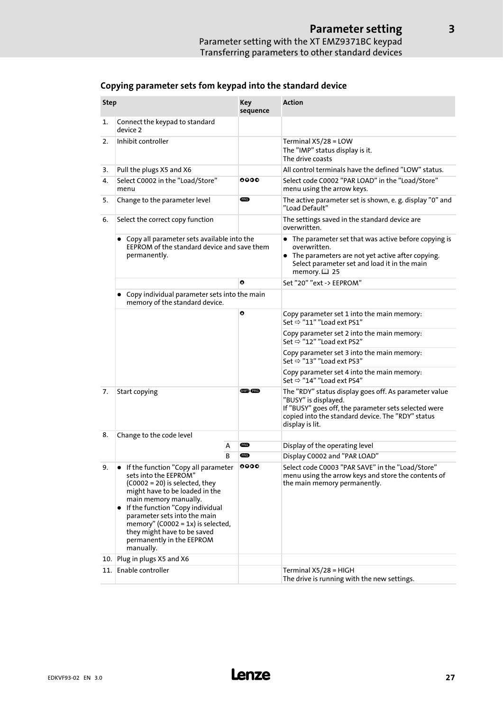| <b>Step</b> |                                                                                                                                                                                                                                                                                                                                                      | <b>Key</b><br>sequence | <b>Action</b>                                                                                                                                                                                                 |
|-------------|------------------------------------------------------------------------------------------------------------------------------------------------------------------------------------------------------------------------------------------------------------------------------------------------------------------------------------------------------|------------------------|---------------------------------------------------------------------------------------------------------------------------------------------------------------------------------------------------------------|
| 1.          | Connect the keypad to standard<br>device 2                                                                                                                                                                                                                                                                                                           |                        |                                                                                                                                                                                                               |
| 2.          | Inhibit controller                                                                                                                                                                                                                                                                                                                                   |                        | Terminal $X5/28 = LOW$<br>The "IMP" status display is it.<br>The drive coasts                                                                                                                                 |
| 3.          | Pull the plugs X5 and X6                                                                                                                                                                                                                                                                                                                             |                        | All control terminals have the defined "LOW" status.                                                                                                                                                          |
| 4.          | Select C0002 in the "Load/Store"<br>menu                                                                                                                                                                                                                                                                                                             | 0000                   | Select code C0002 "PAR LOAD" in the "Load/Store"<br>menu using the arrow keys.                                                                                                                                |
| 5.          | Change to the parameter level                                                                                                                                                                                                                                                                                                                        | <b>PRG</b>             | The active parameter set is shown, e. g. display "0" and<br>"Load Default"                                                                                                                                    |
| 6.          | Select the correct copy function                                                                                                                                                                                                                                                                                                                     |                        | The settings saved in the standard device are<br>overwritten.                                                                                                                                                 |
|             | Copy all parameter sets available into the<br>EEPROM of the standard device and save them<br>permanently.                                                                                                                                                                                                                                            |                        | • The parameter set that was active before copying is<br>overwritten.<br>• The parameters are not yet active after copying.<br>Select parameter set and load it in the main<br>memory. $\boxplus$ 25          |
|             |                                                                                                                                                                                                                                                                                                                                                      | O                      | Set "20" "ext -> EEPROM"                                                                                                                                                                                      |
|             | • Copy individual parameter sets into the main<br>memory of the standard device.                                                                                                                                                                                                                                                                     |                        |                                                                                                                                                                                                               |
|             |                                                                                                                                                                                                                                                                                                                                                      | O                      | Copy parameter set 1 into the main memory:<br>Set $\Rightarrow$ "11" "Load ext PS1"                                                                                                                           |
|             |                                                                                                                                                                                                                                                                                                                                                      |                        | Copy parameter set 2 into the main memory:<br>Set $\Rightarrow$ "12" "Load ext PS2"                                                                                                                           |
|             |                                                                                                                                                                                                                                                                                                                                                      |                        | Copy parameter set 3 into the main memory:<br>Set $\Rightarrow$ "13" "Load ext PS3"                                                                                                                           |
|             |                                                                                                                                                                                                                                                                                                                                                      |                        | Copy parameter set 4 into the main memory:<br>Set $\Rightarrow$ "14" "Load ext PS4"                                                                                                                           |
| 7.          | Start copying                                                                                                                                                                                                                                                                                                                                        | <b>SHED (PRG)</b>      | The "RDY" status display goes off. As parameter value<br>"BUSY" is displayed.<br>If "BUSY" goes off, the parameter sets selected were<br>copied into the standard device. The "RDY" status<br>display is lit. |
| 8.          | Change to the code level                                                                                                                                                                                                                                                                                                                             |                        |                                                                                                                                                                                                               |
|             | А                                                                                                                                                                                                                                                                                                                                                    | <b>PRG</b>             | Display of the operating level                                                                                                                                                                                |
|             | B                                                                                                                                                                                                                                                                                                                                                    | <b>ERG</b>             | Display C0002 and "PAR LOAD"                                                                                                                                                                                  |
| 9.          | • If the function "Copy all parameter<br>sets into the EEPROM"<br>$(C0002 = 20)$ is selected, they<br>might have to be loaded in the<br>main memory manually.<br>• If the function "Copy individual<br>parameter sets into the main<br>memory" (C0002 = $1x$ ) is selected,<br>they might have to be saved<br>permanently in the EEPROM<br>manually. | 0000                   | Select code C0003 "PAR SAVE" in the "Load/Store"<br>menu using the arrow keys and store the contents of<br>the main memory permanently.                                                                       |
| 10.         | Plug in plugs X5 and X6                                                                                                                                                                                                                                                                                                                              |                        |                                                                                                                                                                                                               |
| 11.         | Enable controller                                                                                                                                                                                                                                                                                                                                    |                        | Terminal X5/28 = HIGH<br>The drive is running with the new settings.                                                                                                                                          |

## Copying parameter sets fom keypad into the standard device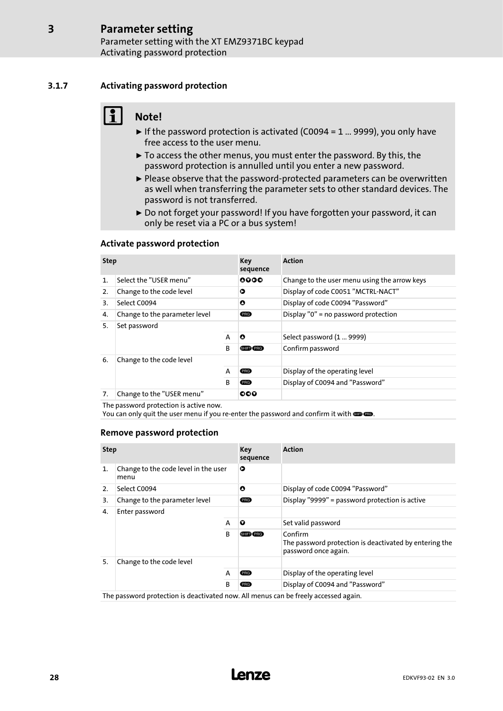## 3.1.7 Activating password protection

<span id="page-27-0"></span>[3](#page-19-0)

## Note!

- $\blacktriangleright$  If the password protection is activated (C0094 = 1 ... 9999), you only have free access to the user menu.
- $\triangleright$  To access the other menus, you must enter the password. By this, the password protection is annulled until you enter a new password.
- ► Please observe that the password-protected parameters can be overwritten as well when transferring the parameter sets to other standard devices. The password is not transferred.
- ▶ Do not forget your password! If you have forgotten your password, it can only be reset via a PC or a bus system!

## Activate password protection

| <b>Step</b>    |                               |              | Key<br>sequence | <b>Action</b>                                |
|----------------|-------------------------------|--------------|-----------------|----------------------------------------------|
| $\mathbf{1}$ . | Select the "USER menu"        |              | 0000            | Change to the user menu using the arrow keys |
| 2.             | Change to the code level      |              | ο               | Display of code C0051 "MCTRL-NACT"           |
| 3.             | Select C0094                  |              | O               | Display of code C0094 "Password"             |
| 4.             | Change to the parameter level |              | <b>ERG</b>      | Display "0" = no password protection         |
| 5.             | Set password                  |              |                 |                                              |
|                |                               | A            | $\bullet$       | Select password (1  9999)                    |
|                |                               | <sub>R</sub> | SHIFT (PRG)     | Confirm password                             |
| 6.             | Change to the code level      |              |                 |                                              |
|                |                               | A            | <b>PRG</b>      | Display of the operating level               |
|                |                               | B            | <b>PRG</b>      | Display of C0094 and "Password"              |
| 7.             | Change to the "USER menu"     |              | ೦೦೦             |                                              |

The password protection is active now.

You can only quit the user menu if you re-enter the password and confirm it with . **. .** 

## Remove password protection

| <b>Step</b>    |                                                                                     |   | Key<br>sequence | <b>Action</b>                                                                             |
|----------------|-------------------------------------------------------------------------------------|---|-----------------|-------------------------------------------------------------------------------------------|
| $\mathbf{1}$ . | Change to the code level in the user<br>menu                                        |   | Ο               |                                                                                           |
| 2.             | Select C0094                                                                        |   | O               | Display of code C0094 "Password"                                                          |
| 3.             | Change to the parameter level                                                       |   | <b>ERG</b>      | Display "9999" = password protection is active                                            |
| 4.             | Enter password                                                                      |   |                 |                                                                                           |
|                |                                                                                     | A | Q               | Set valid password                                                                        |
|                |                                                                                     | B | SHIFTY PRG      | Confirm<br>The password protection is deactivated by entering the<br>password once again. |
| 5.             | Change to the code level                                                            |   |                 |                                                                                           |
|                |                                                                                     | A | <b>PRG</b>      | Display of the operating level                                                            |
|                | B                                                                                   |   | <b>PRG</b>      | Display of C0094 and "Password"                                                           |
|                | The password protection is deactivated now. All menus can be freely accessed again. |   |                 |                                                                                           |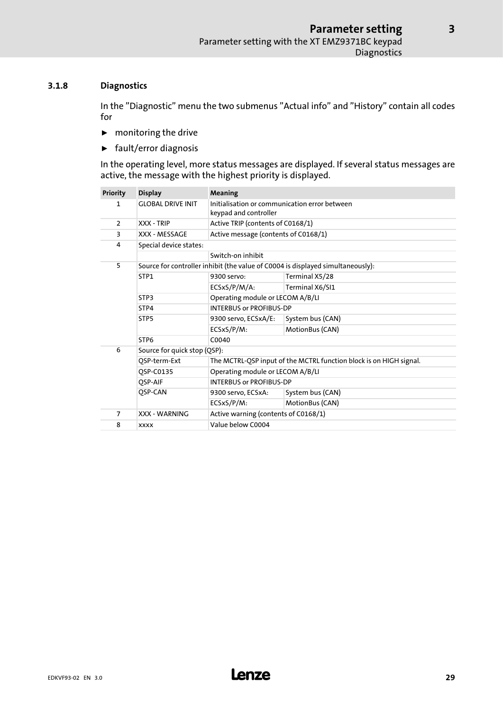## <span id="page-28-0"></span>3.1.8 Diagnostics

In the "Diagnostic" menu the two submenus "Actual info" and "History" contain all codes for

- $\blacktriangleright$  monitoring the drive
- $\blacktriangleright$  fault/error diagnosis

In the operating level, more status messages are displayed. If several status messages are active, the message with the highest priority is displayed.

| <b>Priority</b> | <b>Display</b>               | Meaning                                                                |                                                                                 |  |  |  |  |
|-----------------|------------------------------|------------------------------------------------------------------------|---------------------------------------------------------------------------------|--|--|--|--|
| 1               | <b>GLOBAL DRIVE INIT</b>     | Initialisation or communication error between<br>keypad and controller |                                                                                 |  |  |  |  |
| $\overline{2}$  | XXX - TRIP                   | Active TRIP (contents of C0168/1)                                      |                                                                                 |  |  |  |  |
| 3               | XXX - MESSAGE                | Active message (contents of C0168/1)                                   |                                                                                 |  |  |  |  |
| 4               | Special device states:       |                                                                        |                                                                                 |  |  |  |  |
|                 |                              | Switch-on inhibit                                                      |                                                                                 |  |  |  |  |
| 5               |                              |                                                                        | Source for controller inhibit (the value of C0004 is displayed simultaneously): |  |  |  |  |
|                 | STP1                         | 9300 servo:                                                            | Terminal X5/28                                                                  |  |  |  |  |
|                 |                              | ECSxS/P/M/A:                                                           | Terminal X6/SI1                                                                 |  |  |  |  |
|                 | STP3                         | Operating module or LECOM A/B/LI                                       |                                                                                 |  |  |  |  |
|                 | STP4                         | <b>INTERBUS or PROFIBUS-DP</b>                                         |                                                                                 |  |  |  |  |
|                 | STP <sub>5</sub>             | 9300 servo, ECSxA/E:                                                   | System bus (CAN)                                                                |  |  |  |  |
|                 |                              | ECSxS/P/M:                                                             | MotionBus (CAN)                                                                 |  |  |  |  |
|                 | STP <sub>6</sub>             | C0040                                                                  |                                                                                 |  |  |  |  |
| 6               | Source for quick stop (QSP): |                                                                        |                                                                                 |  |  |  |  |
|                 | QSP-term-Ext                 | The MCTRL-QSP input of the MCTRL function block is on HIGH signal.     |                                                                                 |  |  |  |  |
|                 | OSP-C0135                    | Operating module or LECOM A/B/LI                                       |                                                                                 |  |  |  |  |
|                 | OSP-AIF                      | <b>INTERBUS or PROFIBUS-DP</b>                                         |                                                                                 |  |  |  |  |
|                 | QSP-CAN                      | 9300 servo, ECSxA:                                                     | System bus (CAN)                                                                |  |  |  |  |
|                 |                              | ECSxS/P/M:                                                             | MotionBus (CAN)                                                                 |  |  |  |  |
| $\overline{7}$  | <b>XXX - WARNING</b>         | Active warning (contents of C0168/1)                                   |                                                                                 |  |  |  |  |
| 8               | <b>XXXX</b>                  | Value below C0004                                                      |                                                                                 |  |  |  |  |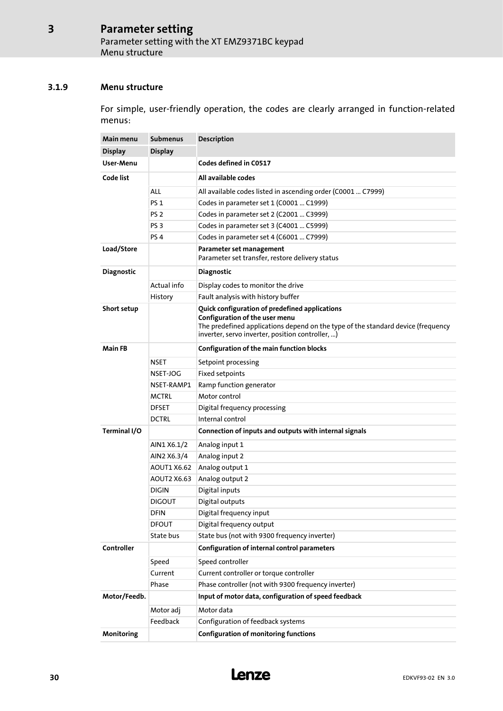## <span id="page-29-0"></span>3.1.9 Menu structure

For simple, user−friendly operation, the codes are clearly arranged in function−related menus:

| Main menu         | <b>Submenus</b> | Description                                                                                                                                                                                                              |  |  |  |  |
|-------------------|-----------------|--------------------------------------------------------------------------------------------------------------------------------------------------------------------------------------------------------------------------|--|--|--|--|
| <b>Display</b>    | <b>Display</b>  |                                                                                                                                                                                                                          |  |  |  |  |
| User-Menu         |                 | Codes defined in C0517                                                                                                                                                                                                   |  |  |  |  |
| Code list         |                 | All available codes                                                                                                                                                                                                      |  |  |  |  |
|                   | ALL             | All available codes listed in ascending order (C0001  C7999)                                                                                                                                                             |  |  |  |  |
|                   | <b>PS 1</b>     | Codes in parameter set 1 (C0001  C1999)                                                                                                                                                                                  |  |  |  |  |
|                   | PS <sub>2</sub> | Codes in parameter set 2 (C2001  C3999)                                                                                                                                                                                  |  |  |  |  |
|                   | PS <sub>3</sub> | Codes in parameter set 3 (C4001  C5999)                                                                                                                                                                                  |  |  |  |  |
|                   | PS <sub>4</sub> | Codes in parameter set 4 (C6001  C7999)                                                                                                                                                                                  |  |  |  |  |
| Load/Store        |                 | Parameter set management<br>Parameter set transfer, restore delivery status                                                                                                                                              |  |  |  |  |
| <b>Diagnostic</b> |                 | <b>Diagnostic</b>                                                                                                                                                                                                        |  |  |  |  |
|                   | Actual info     | Display codes to monitor the drive                                                                                                                                                                                       |  |  |  |  |
|                   | History         | Fault analysis with history buffer                                                                                                                                                                                       |  |  |  |  |
| Short setup       |                 | Quick configuration of predefined applications<br>Configuration of the user menu<br>The predefined applications depend on the type of the standard device (frequency<br>inverter, servo inverter, position controller, ) |  |  |  |  |
| <b>Main FB</b>    |                 | Configuration of the main function blocks                                                                                                                                                                                |  |  |  |  |
|                   | NSET            | Setpoint processing                                                                                                                                                                                                      |  |  |  |  |
|                   | NSET-JOG        | Fixed setpoints                                                                                                                                                                                                          |  |  |  |  |
|                   | NSET-RAMP1      | Ramp function generator                                                                                                                                                                                                  |  |  |  |  |
|                   | <b>MCTRL</b>    | Motor control                                                                                                                                                                                                            |  |  |  |  |
|                   | <b>DFSET</b>    | Digital frequency processing                                                                                                                                                                                             |  |  |  |  |
|                   | <b>DCTRL</b>    | Internal control                                                                                                                                                                                                         |  |  |  |  |
| Terminal I/O      |                 | Connection of inputs and outputs with internal signals                                                                                                                                                                   |  |  |  |  |
|                   | AIN1 X6.1/2     | Analog input 1                                                                                                                                                                                                           |  |  |  |  |
|                   | AIN2 X6.3/4     | Analog input 2                                                                                                                                                                                                           |  |  |  |  |
|                   | AOUT1 X6.62     | Analog output 1                                                                                                                                                                                                          |  |  |  |  |
|                   | AOUT2 X6.63     | Analog output 2                                                                                                                                                                                                          |  |  |  |  |
|                   | <b>DIGIN</b>    | Digital inputs                                                                                                                                                                                                           |  |  |  |  |
|                   | <b>DIGOUT</b>   | Digital outputs                                                                                                                                                                                                          |  |  |  |  |
|                   | <b>DFIN</b>     | Digital frequency input                                                                                                                                                                                                  |  |  |  |  |
|                   | <b>DFOUT</b>    | Digital frequency output                                                                                                                                                                                                 |  |  |  |  |
|                   | State bus       | State bus (not with 9300 frequency inverter)                                                                                                                                                                             |  |  |  |  |
| Controller        |                 | Configuration of internal control parameters                                                                                                                                                                             |  |  |  |  |
|                   | Speed           | Speed controller                                                                                                                                                                                                         |  |  |  |  |
|                   | Current         | Current controller or torque controller                                                                                                                                                                                  |  |  |  |  |
|                   | Phase           | Phase controller (not with 9300 frequency inverter)                                                                                                                                                                      |  |  |  |  |
| Motor/Feedb.      |                 | Input of motor data, configuration of speed feedback                                                                                                                                                                     |  |  |  |  |
|                   | Motor adj       | Motor data                                                                                                                                                                                                               |  |  |  |  |
|                   | Feedback        | Configuration of feedback systems                                                                                                                                                                                        |  |  |  |  |
| Monitoring        |                 | <b>Configuration of monitoring functions</b>                                                                                                                                                                             |  |  |  |  |

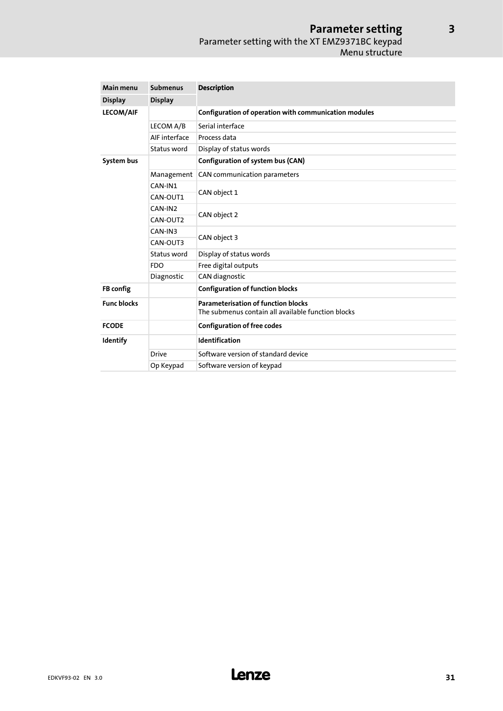## Parameter setting Parameter setting with the XT EMZ9371BC keypad Menu structure

| Main menu<br><b>Submenus</b> |                | <b>Description</b>                                                                               |  |  |  |
|------------------------------|----------------|--------------------------------------------------------------------------------------------------|--|--|--|
| <b>Display</b>               | <b>Display</b> |                                                                                                  |  |  |  |
| <b>LECOM/AIF</b>             |                | Configuration of operation with communication modules                                            |  |  |  |
|                              | LECOM A/B      | Serial interface                                                                                 |  |  |  |
|                              | AIF interface  | Process data                                                                                     |  |  |  |
|                              | Status word    | Display of status words                                                                          |  |  |  |
| System bus                   |                | Configuration of system bus (CAN)                                                                |  |  |  |
|                              | Management     | CAN communication parameters                                                                     |  |  |  |
|                              | CAN-IN1        |                                                                                                  |  |  |  |
|                              | CAN-OUT1       | CAN object 1                                                                                     |  |  |  |
|                              | CAN-IN2        |                                                                                                  |  |  |  |
|                              | CAN-OUT2       | CAN object 2                                                                                     |  |  |  |
|                              | CAN-IN3        |                                                                                                  |  |  |  |
|                              | CAN-OUT3       | CAN object 3                                                                                     |  |  |  |
|                              | Status word    | Display of status words                                                                          |  |  |  |
|                              | <b>FDO</b>     | Free digital outputs                                                                             |  |  |  |
|                              | Diagnostic     | CAN diagnostic                                                                                   |  |  |  |
| <b>FB</b> config             |                | <b>Configuration of function blocks</b>                                                          |  |  |  |
| <b>Func blocks</b>           |                | <b>Parameterisation of function blocks</b><br>The submenus contain all available function blocks |  |  |  |
| <b>FCODE</b>                 |                | <b>Configuration of free codes</b>                                                               |  |  |  |
| Identify                     |                | Identification                                                                                   |  |  |  |
|                              | <b>Drive</b>   | Software version of standard device                                                              |  |  |  |
|                              | Op Keypad      | Software version of keypad                                                                       |  |  |  |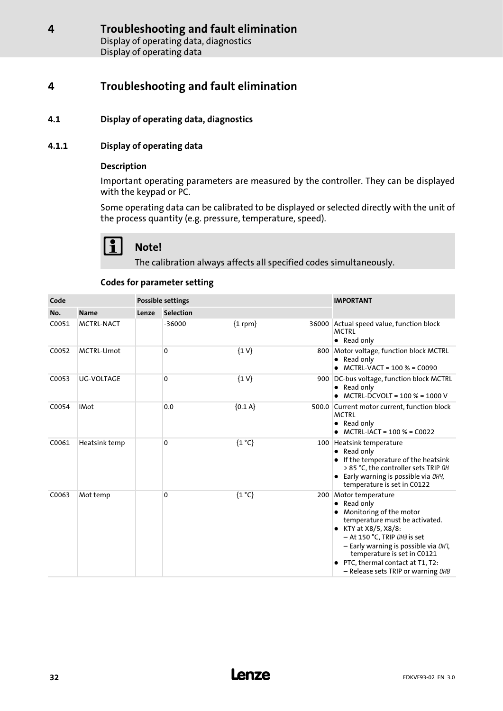## <span id="page-31-0"></span>4.1 Display of operating data, diagnostics

## 4.1.1 Display of operating data

## Description

Important operating parameters are measured by the controller. They can be displayed with the keypad or PC.

Some operating data can be calibrated to be displayed or selected directly with the unit of the process quantity (e.g. pressure, temperature, speed).

# Note!

The calibration always affects all specified codes simultaneously.

## Codes for parameter setting

| Code  |                   | <b>Possible settings</b> |                  |                |  | <b>IMPORTANT</b>                                                                                                                                                                                                                                                                                                       |
|-------|-------------------|--------------------------|------------------|----------------|--|------------------------------------------------------------------------------------------------------------------------------------------------------------------------------------------------------------------------------------------------------------------------------------------------------------------------|
| No.   | <b>Name</b>       | Lenze                    | <b>Selection</b> |                |  |                                                                                                                                                                                                                                                                                                                        |
| C0051 | <b>MCTRL-NACT</b> |                          | $-36000$         | ${1$ rpm $}$   |  | 36000 Actual speed value, function block<br><b>MCTRI</b><br>• Read only                                                                                                                                                                                                                                                |
| C0052 | <b>MCTRL-Umot</b> |                          | 0                | $\{1 V\}$      |  | 800 Motor voltage, function block MCTRL<br>• Read only<br>MCTRL-VACT = 100 % = C0090                                                                                                                                                                                                                                   |
| C0053 | <b>UG-VOLTAGE</b> |                          | 0                | $\{1 V\}$      |  | 900 DC-bus voltage, function block MCTRL<br>• Read only<br>MCTRL-DCVOLT = 100 % = 1000 V                                                                                                                                                                                                                               |
| C0054 | <b>IMot</b>       |                          | 0.0              | ${0.1 A}$      |  | 500.0 Current motor current, function block<br><b>MCTRL</b><br>Read only<br>$\bullet$<br>$MCTRL-IACT = 100 % = CO022$                                                                                                                                                                                                  |
| C0061 | Heatsink temp     |                          | 0                | ${1^{\circ}C}$ |  | 100 Heatsink temperature<br>$\bullet$ Read only<br>If the temperature of the heatsink<br>> 85 °C, the controller sets TRIP OH<br>Early warning is possible via DH4,<br>temperature is set in C0122                                                                                                                     |
| C0063 | Mot temp          |                          | 0                | ${1^{\circ}C}$ |  | 200 Motor temperature<br>Read only<br>٠<br>Monitoring of the motor<br>temperature must be activated.<br>KTY at X8/5, X8/8:<br>٠<br>- At 150 °C, TRIP 0H3 is set<br>- Early warning is possible via DH7,<br>temperature is set in C0121<br>PTC, thermal contact at T1, T2:<br>- Release sets TRIP or warning <i>0H8</i> |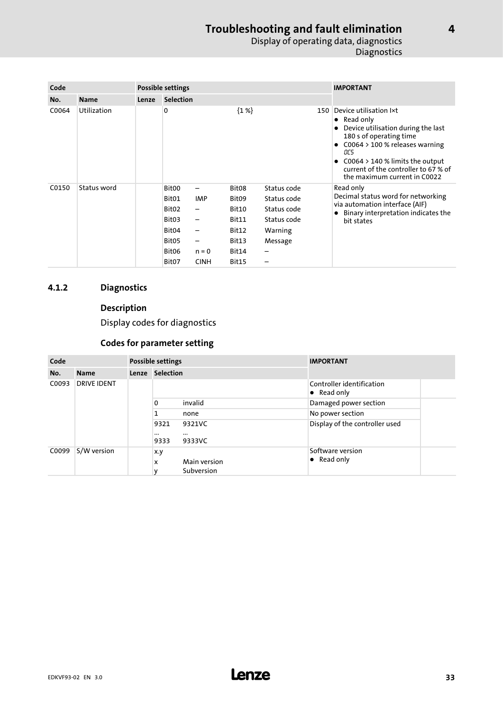## Troubleshooting and fault elimination Display of operating data, diagnostics **Diagnostics**

<span id="page-32-0"></span>

| Code  |             | Possible settings |                                                                                                                                              |                                                               |                                                                                                     |                                                                                     | <b>IMPORTANT</b> |                                                                                                                                                                                                                                                                      |
|-------|-------------|-------------------|----------------------------------------------------------------------------------------------------------------------------------------------|---------------------------------------------------------------|-----------------------------------------------------------------------------------------------------|-------------------------------------------------------------------------------------|------------------|----------------------------------------------------------------------------------------------------------------------------------------------------------------------------------------------------------------------------------------------------------------------|
| No.   | <b>Name</b> | Lenze             | <b>Selection</b>                                                                                                                             |                                                               |                                                                                                     |                                                                                     |                  |                                                                                                                                                                                                                                                                      |
| C0064 | Utilization |                   | 0                                                                                                                                            |                                                               | ${1\%}$                                                                                             |                                                                                     | 150              | Device utilisation lxt<br>$\bullet$ Read only<br>Device utilisation during the last<br>180 s of operating time<br>C0064 > 100 % releases warning<br>OC5<br>$C0064 > 140$ % limits the output<br>current of the controller to 67 % of<br>the maximum current in C0022 |
| C0150 | Status word |                   | Bit <sub>00</sub><br>Bit <sub>01</sub><br>Bit <sub>02</sub><br>Bit03<br>Bit04<br>Bit <sub>05</sub><br>Bit <sub>06</sub><br>Bit <sub>07</sub> | —<br><b>IMP</b><br>—<br>—<br>-<br>-<br>$n = 0$<br><b>CINH</b> | Bit <sub>08</sub><br>Bit <sub>09</sub><br>Bit10<br>Bit11<br>Bit12<br>Bit13<br>Bit14<br><b>Bit15</b> | Status code<br>Status code<br>Status code<br>Status code<br>Warning<br>Message<br>- |                  | Read only<br>Decimal status word for networking<br>via automation interface (AIF)<br>Binary interpretation indicates the<br>bit states                                                                                                                               |

## 4.1.2 Diagnostics

## Description

Display codes for diagnostics

## Codes for parameter setting

| Code                        |             | Possible settings |                          |                              | <b>IMPORTANT</b>                                 |  |
|-----------------------------|-------------|-------------------|--------------------------|------------------------------|--------------------------------------------------|--|
| No.                         | <b>Name</b> |                   | Lenze Selection          |                              |                                                  |  |
| <b>DRIVE IDENT</b><br>C0093 |             |                   |                          |                              | Controller identification<br>$\bullet$ Read only |  |
|                             |             |                   | $\mathbf{0}$             | invalid                      | Damaged power section                            |  |
|                             |             |                   | 1                        | none                         | No power section                                 |  |
|                             |             |                   | 9321<br>$\cdots$<br>9333 | 9321VC<br>$\cdots$<br>9333VC | Display of the controller used                   |  |
| C0099                       | S/W version |                   | x.y<br>x<br>v            | Main version<br>Subversion   | Software version<br>• Read only                  |  |

[4](#page-31-0)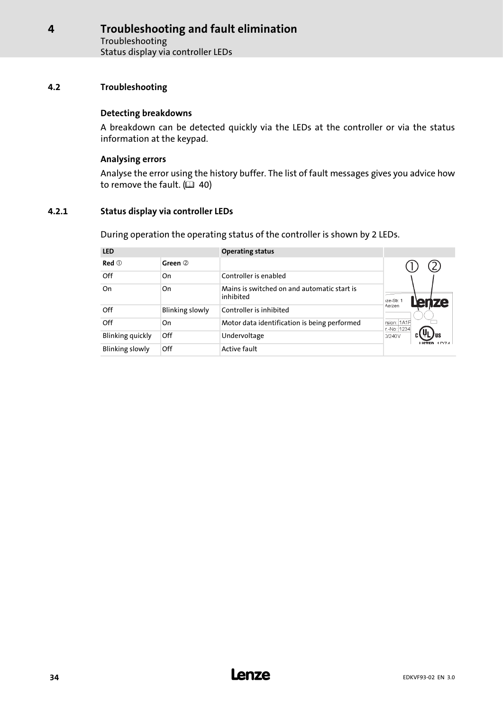## <span id="page-33-0"></span>4.2 Troubleshooting

## Detecting breakdowns

A breakdown can be detected quickly via the LEDs at the controller or via the status information at the keypad.

## Analysing errors

Analyse the error using the history buffer. The list of fault messages gives you advice how to remove the fault.  $( 40 40)$  $( 40 40)$ 

## 4.2.1 Status display via controller LEDs

During operation the operating status of the controller is shown by 2 LEDs.

| <b>LED</b>             |                 | <b>Operating status</b>                                  |                            |
|------------------------|-----------------|----------------------------------------------------------|----------------------------|
| $Red$ $@$              | Green 2         |                                                          |                            |
| Off                    | On              | Controller is enabled                                    |                            |
| On                     | On              | Mains is switched on and automatic start is<br>inhibited | 1ze-Str. 1<br>ЮI           |
| Off                    | Blinking slowly | Controller is inhibited                                  | Aerzen                     |
| Off                    | On              | Motor data identification is being performed             | rsion: 1A1F<br>r.-No: 1234 |
| Blinking quickly       | Off             | Undervoltage                                             | 0/240V                     |
| <b>Blinking slowly</b> | Off             | Active fault                                             |                            |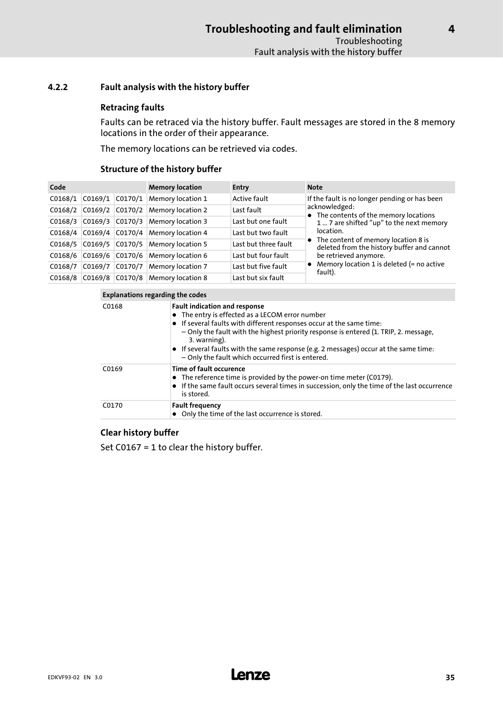## <span id="page-34-0"></span>4.2.2 Fault analysis with the history buffer

## Retracing faults

Faults can be retraced via the history buffer. Fault messages are stored in the 8 memory locations in the order of their appearance.

The memory locations can be retrieved via codes.

## Structure of the history buffer

| Code    |                     | <b>Memory location</b> | <b>Entry</b>                      | <b>Note</b>          |                                                                                     |
|---------|---------------------|------------------------|-----------------------------------|----------------------|-------------------------------------------------------------------------------------|
| CO168/1 | $CO169/1$ $CO170/1$ |                        | <b>Memory location 1</b>          | Active fault         | If the fault is no longer pending or has been                                       |
| CO168/2 |                     |                        | C0169/2 C0170/2 Memory location 2 | Last fault           | acknowledged:<br>• The contents of the memory locations                             |
| CO168/3 |                     |                        | C0169/3 C0170/3 Memory location 3 | Last but one fault   | 1  7 are shifted "up" to the next memory                                            |
| C0168/4 |                     |                        | C0169/4 C0170/4 Memory location 4 | Last but two fault   | location.                                                                           |
| CO168/5 |                     |                        | C0169/5 C0170/5 Memory location 5 | Last but three fault | • The content of memory location 8 is<br>deleted from the history buffer and cannot |
| CO168/6 |                     |                        | C0169/6 C0170/6 Memory location 6 | Last but four fault  | be retrieved anymore.                                                               |
| C0168/7 | CO169/7             |                        | C0170/7 Memory location 7         | Last but five fault  | • Memory location 1 is deleted $(=$ no active<br>fault).                            |
| CO168/8 |                     |                        | C0169/8 C0170/8 Memory location 8 | Last but six fault   |                                                                                     |

| Explanations regarding the codes |  |  |
|----------------------------------|--|--|
|                                  |  |  |

| C0168 | <b>Fault indication and response</b><br>• The entry is effected as a LECOM error number<br>• If several faults with different responses occur at the same time:<br>- Only the fault with the highest priority response is entered (1. TRIP, 2. message,<br>3. warning).<br>• If several faults with the same response (e.g. 2 messages) occur at the same time:<br>- Only the fault which occurred first is entered. |
|-------|----------------------------------------------------------------------------------------------------------------------------------------------------------------------------------------------------------------------------------------------------------------------------------------------------------------------------------------------------------------------------------------------------------------------|
| C0169 | Time of fault occurence<br>• The reference time is provided by the power-on time meter (C0179).<br>• If the same fault occurs several times in succession, only the time of the last occurrence<br>is stored.                                                                                                                                                                                                        |
| C0170 | <b>Fault frequency</b><br>• Only the time of the last occurrence is stored.                                                                                                                                                                                                                                                                                                                                          |

## Clear history buffer

Set C0167 = 1 to clear the history buffer.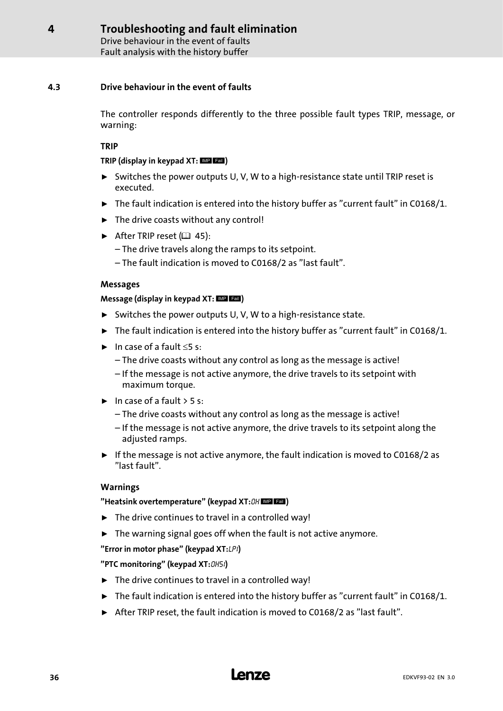Drive behaviour in the event of faults Fault analysis with the history buffer

## <span id="page-35-0"></span>4.3 Drive behaviour in the event of faults

The controller responds differently to the three possible fault types TRIP, message, or warning:

## TRIP

## TRIP (display in keypad  $XT:$   $MP$   $EBI$ )

- ƒ Switches the power outputs U, V, W to a high−resistance state until TRIP reset is executed.
- $\triangleright$  The fault indication is entered into the history buffer as "current fault" in C0168/1.
- $\blacktriangleright$  The drive coasts without any control!
- After TRIP reset  $(43, 45)$  $(43, 45)$  $(43, 45)$ :
	- The drive travels along the ramps to its setpoint.
	- The fault indication is moved to C0168/2 as "last fault".

## Messages

## Message (display in keypad  $XT:$   $MP$   $Fall$ )

- ► Switches the power outputs U, V, W to a high-resistance state.
- $\blacktriangleright$  The fault indication is entered into the history buffer as "current fault" in C0168/1.
- $\blacktriangleright$  In case of a fault  $\leq$ 5 s:
	- The drive coasts without any control as long as the message is active!
	- If the message is not active anymore, the drive travels to its setpoint with maximum torque.
- $\blacktriangleright$  In case of a fault  $>$  5 s:
	- The drive coasts without any control as long as the message is active!
	- If the message is not active anymore, the drive travels to its setpoint along the adjusted ramps.
- $\triangleright$  If the message is not active anymore, the fault indication is moved to C0168/2 as "last fault".

## Warnings

## "Heatsink overtemperature" (keypad XT: OH MP Lall)

- $\blacktriangleright$  The drive continues to travel in a controlled way!
- $\blacktriangleright$  The warning signal goes off when the fault is not active anymore.

## "Error in motor phase" (keypad XT:LP1)

## "PTC monitoring" (keypad XT: OH51)

- $\blacktriangleright$  The drive continues to travel in a controlled way!
- $\triangleright$  The fault indication is entered into the history buffer as "current fault" in C0168/1.
- ▶ After TRIP reset, the fault indication is moved to C0168/2 as "last fault".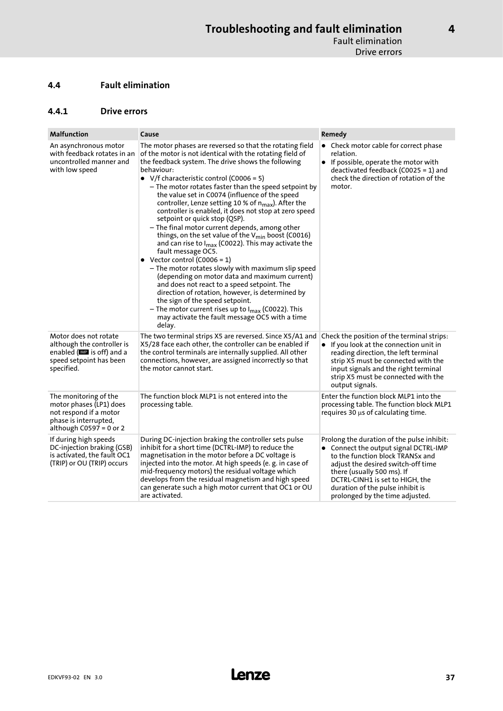## <span id="page-36-0"></span>4.4 Fault elimination

### 4.4.1 Drive errors

| <b>Malfunction</b>                                                                                                               | Cause                                                                                                                                                                                                                                                                                                                                                                                                                                                                                                                                                                                                                                                                                                                                                                                                                                                                                                                                                                                                                                                                                                                  | Remedy                                                                                                                                                                                                                                                                                                |
|----------------------------------------------------------------------------------------------------------------------------------|------------------------------------------------------------------------------------------------------------------------------------------------------------------------------------------------------------------------------------------------------------------------------------------------------------------------------------------------------------------------------------------------------------------------------------------------------------------------------------------------------------------------------------------------------------------------------------------------------------------------------------------------------------------------------------------------------------------------------------------------------------------------------------------------------------------------------------------------------------------------------------------------------------------------------------------------------------------------------------------------------------------------------------------------------------------------------------------------------------------------|-------------------------------------------------------------------------------------------------------------------------------------------------------------------------------------------------------------------------------------------------------------------------------------------------------|
| An asynchronous motor<br>with feedback rotates in an<br>uncontrolled manner and<br>with low speed                                | The motor phases are reversed so that the rotating field<br>of the motor is not identical with the rotating field of<br>the feedback system. The drive shows the following<br>behaviour:<br>• V/f characteristic control (C0006 = 5)<br>- The motor rotates faster than the speed setpoint by<br>the value set in C0074 (influence of the speed<br>controller, Lenze setting 10 % of $n_{max}$ ). After the<br>controller is enabled, it does not stop at zero speed<br>setpoint or quick stop (QSP).<br>- The final motor current depends, among other<br>things, on the set value of the V <sub>min</sub> boost (C0016)<br>and can rise to $I_{max}$ (C0022). This may activate the<br>fault message OC5.<br>• Vector control (C0006 = 1)<br>- The motor rotates slowly with maximum slip speed<br>(depending on motor data and maximum current)<br>and does not react to a speed setpoint. The<br>direction of rotation, however, is determined by<br>the sign of the speed setpoint.<br>- The motor current rises up to I <sub>max</sub> (C0022). This<br>may activate the fault message OC5 with a time<br>delay. | • Check motor cable for correct phase<br>relation.<br>• If possible, operate the motor with<br>deactivated feedback (C0025 = 1) and<br>check the direction of rotation of the<br>motor.                                                                                                               |
| Motor does not rotate<br>although the controller is<br>enabled (IIII is off) and a<br>speed setpoint has been<br>specified.      | The two terminal strips X5 are reversed. Since X5/A1 and<br>X5/28 face each other, the controller can be enabled if<br>the control terminals are internally supplied. All other<br>connections, however, are assigned incorrectly so that<br>the motor cannot start.                                                                                                                                                                                                                                                                                                                                                                                                                                                                                                                                                                                                                                                                                                                                                                                                                                                   | Check the position of the terminal strips:<br>• If you look at the connection unit in<br>reading direction, the left terminal<br>strip X5 must be connected with the<br>input signals and the right terminal<br>strip X5 must be connected with the<br>output signals.                                |
| The monitoring of the<br>motor phases (LP1) does<br>not respond if a motor<br>phase is interrupted,<br>although $C0597 = 0$ or 2 | The function block MLP1 is not entered into the<br>processing table.                                                                                                                                                                                                                                                                                                                                                                                                                                                                                                                                                                                                                                                                                                                                                                                                                                                                                                                                                                                                                                                   | Enter the function block MLP1 into the<br>processing table. The function block MLP1<br>requires $30 \mu s$ of calculating time.                                                                                                                                                                       |
| If during high speeds<br>DC-injection braking (GSB)<br>is activated, the fault OC1<br>(TRIP) or OU (TRIP) occurs                 | During DC-injection braking the controller sets pulse<br>inhibit for a short time (DCTRL-IMP) to reduce the<br>magnetisation in the motor before a DC voltage is<br>injected into the motor. At high speeds (e.g. in case of<br>mid-frequency motors) the residual voltage which<br>develops from the residual magnetism and high speed<br>can generate such a high motor current that OC1 or OU<br>are activated.                                                                                                                                                                                                                                                                                                                                                                                                                                                                                                                                                                                                                                                                                                     | Prolong the duration of the pulse inhibit:<br>• Connect the output signal DCTRL-IMP<br>to the function block TRANSx and<br>adjust the desired switch-off time<br>there (usually 500 ms). If<br>DCTRL-CINH1 is set to HIGH, the<br>duration of the pulse inhibit is<br>prolonged by the time adjusted. |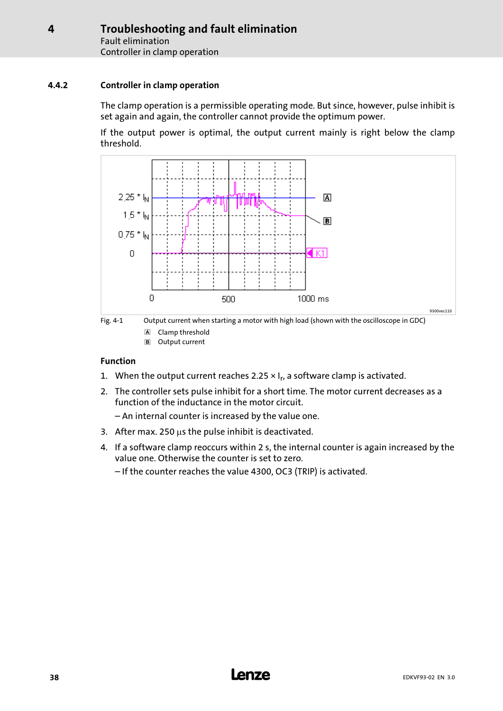## <span id="page-37-0"></span>4.4.2 Controller in clamp operation

The clamp operation is a permissible operating mode. But since, however, pulse inhibit is set again and again, the controller cannot provide the optimum power.

If the output power is optimal, the output current mainly is right below the clamp threshold.





Output current

## Function

- 1. When the output current reaches 2.25  $\times$  I<sub>r</sub>, a software clamp is activated.
- 2. The controller sets pulse inhibit for a short time. The motor current decreases as a function of the inductance in the motor circuit.
	- An internal counter is increased by the value one.
- 3. After max. 250  $\mu$ s the pulse inhibit is deactivated.
- 4. If a software clamp reoccurs within 2 s, the internal counter is again increased by the value one. Otherwise the counter is set to zero.
	- If the counter reaches the value 4300, OC3 (TRIP) is activated.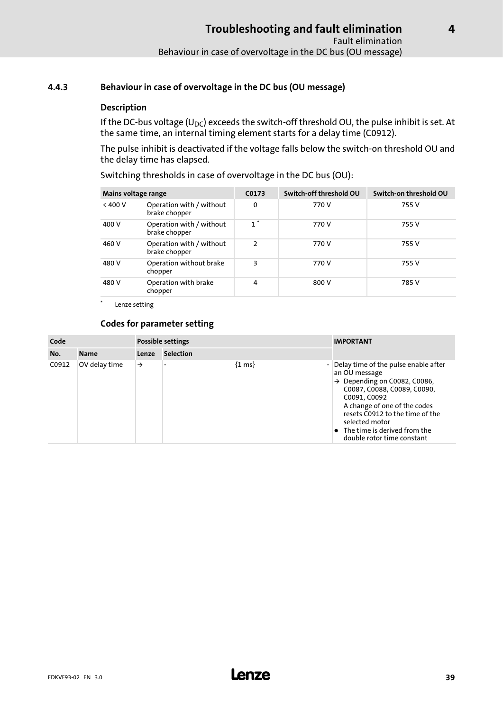## <span id="page-38-0"></span>4.4.3 Behaviour in case of overvoltage in the DC bus (OU message)

## Description

If the DC-bus voltage (U<sub>DC</sub>) exceeds the switch-off threshold OU, the pulse inhibit is set. At the same time, an internal timing element starts for a delay time (C0912).

The pulse inhibit is deactivated if the voltage falls below the switch−on threshold OU and the delay time has elapsed.

Switching thresholds in case of overvoltage in the DC bus (OU):

| Mains voltage range |                                           | C0173         | Switch-off threshold OU | Switch-on threshold OU |
|---------------------|-------------------------------------------|---------------|-------------------------|------------------------|
| < 400 V             | Operation with / without<br>brake chopper | 0             | 770 V                   | 755 V                  |
| 400 V               | Operation with / without<br>brake chopper | $1^*$         | 770 V                   | 755 V                  |
| 460 V               | Operation with / without<br>brake chopper | $\mathcal{P}$ | 770 V                   | 755 V                  |
| 480 V               | Operation without brake<br>chopper        | 3             | 770 V                   | 755 V                  |
| 480 V               | Operation with brake<br>chopper           | 4             | 800 V                   | 785 V                  |

Lenze setting

## Codes for parameter setting

| Code  |               | Possible settings |                  |                     | <b>IMPORTANT</b>                                                                                                                                                                                                                                                                                              |
|-------|---------------|-------------------|------------------|---------------------|---------------------------------------------------------------------------------------------------------------------------------------------------------------------------------------------------------------------------------------------------------------------------------------------------------------|
| No.   | <b>Name</b>   | Lenze             | <b>Selection</b> |                     |                                                                                                                                                                                                                                                                                                               |
| C0912 | OV delay time | $\rightarrow$     |                  | $\{1 \text{ ms}\}\$ | Delay time of the pulse enable after<br>an OU message<br>$\rightarrow$ Depending on C0082, C0086,<br>C0087, C0088, C0089, C0090,<br>C0091, C0092<br>A change of one of the codes<br>resets C0912 to the time of the<br>selected motor<br>$\bullet$ The time is derived from the<br>double rotor time constant |

[4](#page-31-0)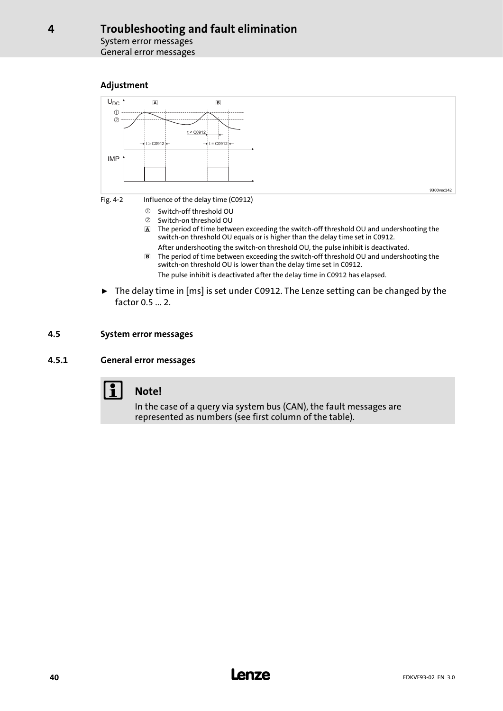System error messages General error messages

## Adjustment

<span id="page-39-0"></span>[4](#page-31-0)



- The period of time between exceeding the switch−off threshold OU and undershooting the switch−on threshold OU equals or is higher than the delay time set in C0912.
- After undershooting the switch−on threshold OU, the pulse inhibit is deactivated. The period of time between exceeding the switch−off threshold OU and undershooting the switch−on threshold OU is lower than the delay time set in C0912. The pulse inhibit is deactivated after the delay time in C0912 has elapsed.
- ► The delay time in [ms] is set under C0912. The Lenze setting can be changed by the factor 0.5 ... 2.

## 4.5 System error messages

## 4.5.1 General error messages



## Note!

In the case of a query via system bus (CAN), the fault messages are represented as numbers (see first column of the table).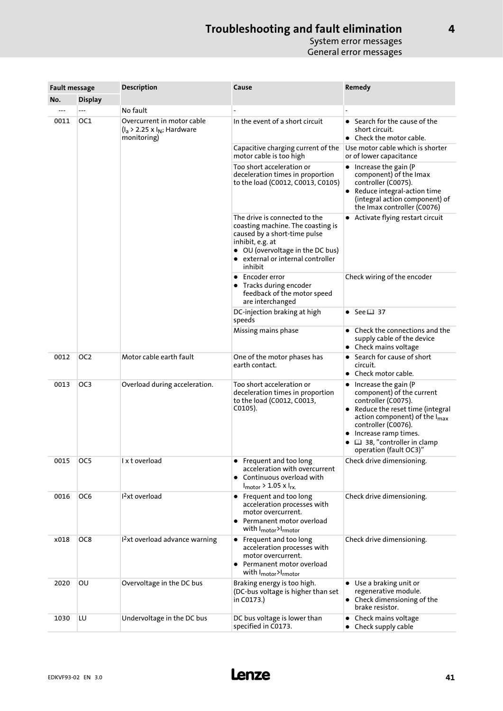| <b>Fault message</b> |                 | <b>Description</b>                                                              | Cause                                                                                                                                                                                                      | Remedy                                                                                                                                                                                                                                                                                       |  |
|----------------------|-----------------|---------------------------------------------------------------------------------|------------------------------------------------------------------------------------------------------------------------------------------------------------------------------------------------------------|----------------------------------------------------------------------------------------------------------------------------------------------------------------------------------------------------------------------------------------------------------------------------------------------|--|
| No.                  | <b>Display</b>  |                                                                                 |                                                                                                                                                                                                            |                                                                                                                                                                                                                                                                                              |  |
|                      |                 | No fault                                                                        |                                                                                                                                                                                                            |                                                                                                                                                                                                                                                                                              |  |
| 0011                 | OC1             | Overcurrent in motor cable<br>$(I_a > 2.25 \times I_N;$ Hardware<br>monitoring) | In the event of a short circuit                                                                                                                                                                            | Search for the cause of the<br>$\bullet$<br>short circuit.<br>• Check the motor cable.                                                                                                                                                                                                       |  |
|                      |                 |                                                                                 | Capacitive charging current of the<br>motor cable is too high                                                                                                                                              | Use motor cable which is shorter<br>or of lower capacitance                                                                                                                                                                                                                                  |  |
|                      |                 |                                                                                 | Too short acceleration or<br>deceleration times in proportion<br>to the load (C0012, C0013, C0105)                                                                                                         | • Increase the gain (P<br>component) of the Imax<br>controller (C0075).<br>Reduce integral-action time<br>(integral action component) of<br>the Imax controller (C0076)                                                                                                                      |  |
|                      |                 |                                                                                 | The drive is connected to the<br>coasting machine. The coasting is<br>caused by a short-time pulse<br>inhibit, e.g. at<br>• OU (overvoltage in the DC bus)<br>• external or internal controller<br>inhibit | • Activate flying restart circuit                                                                                                                                                                                                                                                            |  |
|                      |                 |                                                                                 | • Encoder error<br>• Tracks during encoder<br>feedback of the motor speed<br>are interchanged                                                                                                              | Check wiring of the encoder                                                                                                                                                                                                                                                                  |  |
|                      |                 |                                                                                 | DC-injection braking at high<br>speeds                                                                                                                                                                     | • See $\Box$ 37                                                                                                                                                                                                                                                                              |  |
|                      |                 |                                                                                 | Missing mains phase                                                                                                                                                                                        | Check the connections and the<br>supply cable of the device<br>• Check mains voltage                                                                                                                                                                                                         |  |
| 0012                 | OC <sub>2</sub> | Motor cable earth fault                                                         | One of the motor phases has<br>earth contact.                                                                                                                                                              | • Search for cause of short<br>circuit.<br>Check motor cable.<br>$\bullet$                                                                                                                                                                                                                   |  |
| 0013                 | OC <sub>3</sub> | Overload during acceleration.                                                   | Too short acceleration or<br>deceleration times in proportion<br>to the load (C0012, C0013,<br>$CO105$ ).                                                                                                  | Increase the gain (P<br>$\bullet$<br>component) of the current<br>controller (C0075).<br>Reduce the reset time (integral<br>$\bullet$<br>action component) of the $I_{\text{max}}$<br>controller (C0076).<br>Increase ramp times.<br>٠<br>38, "controller in clamp<br>operation (fault OC3)" |  |
| 0015                 | OC5             | l x t overload                                                                  | • Frequent and too long<br>acceleration with overcurrent<br>• Continuous overload with<br>$I_{\text{motor}}$ > 1.05 x $I_{\text{rx}}$                                                                      | Check drive dimensioning.                                                                                                                                                                                                                                                                    |  |
| 0016                 | OC6             | 1 <sup>2</sup> xt overload                                                      | • Frequent and too long<br>acceleration processes with<br>motor overcurrent.<br>Permanent motor overload<br>with I <sub>motor</sub> >I <sub>rmotor</sub>                                                   | Check drive dimensioning.                                                                                                                                                                                                                                                                    |  |
| x018                 | OC8             | $12xt overload advance warning$                                                 | • Frequent and too long<br>acceleration processes with<br>motor overcurrent.<br>• Permanent motor overload<br>with I <sub>motor</sub> >I <sub>rmotor</sub>                                                 | Check drive dimensioning.                                                                                                                                                                                                                                                                    |  |
| 2020                 | OU              | Overvoltage in the DC bus                                                       | Braking energy is too high.<br>(DC-bus voltage is higher than set<br>in C0173.)                                                                                                                            | • Use a braking unit or<br>regenerative module.<br>• Check dimensioning of the<br>brake resistor.                                                                                                                                                                                            |  |
| 1030                 | LU              | Undervoltage in the DC bus                                                      | DC bus voltage is lower than<br>specified in C0173.                                                                                                                                                        | Check mains voltage<br>$\bullet$<br>• Check supply cable                                                                                                                                                                                                                                     |  |

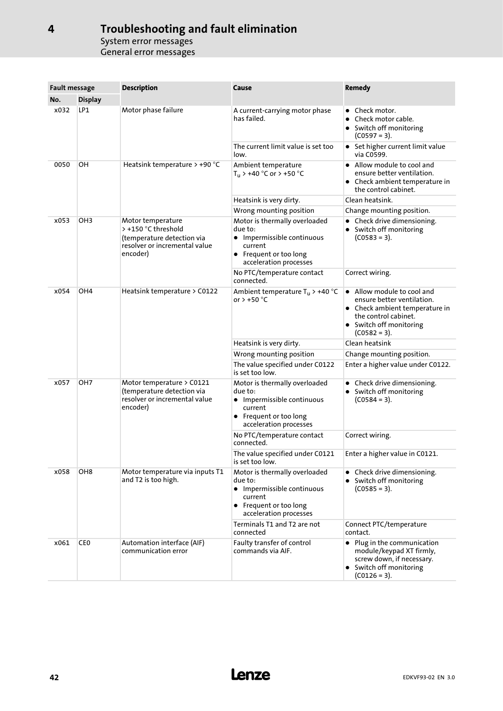| <b>Fault message</b>    |                 | <b>Description</b>                                                                                                  | Cause                                                                                                                                 | <b>Remedy</b>                                                                                                                                                   |  |
|-------------------------|-----------------|---------------------------------------------------------------------------------------------------------------------|---------------------------------------------------------------------------------------------------------------------------------------|-----------------------------------------------------------------------------------------------------------------------------------------------------------------|--|
| No.                     | <b>Display</b>  |                                                                                                                     |                                                                                                                                       |                                                                                                                                                                 |  |
| x032                    | LP1             | Motor phase failure                                                                                                 | A current-carrying motor phase<br>has failed.                                                                                         | • Check motor.<br>Check motor cable.<br>• Switch off monitoring<br>(C0597 = 3).                                                                                 |  |
|                         |                 |                                                                                                                     | The current limit value is set too<br>low.                                                                                            | • Set higher current limit value<br>via C0599.                                                                                                                  |  |
| 0050                    | OH              | Heatsink temperature > +90 °C                                                                                       | Ambient temperature<br>$T_u$ > +40 °C or > +50 °C                                                                                     | • Allow module to cool and<br>ensure better ventilation.<br>• Check ambient temperature in<br>the control cabinet.                                              |  |
|                         |                 |                                                                                                                     | Heatsink is very dirty.                                                                                                               | Clean heatsink.                                                                                                                                                 |  |
|                         |                 |                                                                                                                     | Wrong mounting position                                                                                                               | Change mounting position.                                                                                                                                       |  |
| x053                    | OH <sub>3</sub> | Motor temperature<br>> +150 °C threshold<br>(temperature detection via<br>resolver or incremental value<br>encoder) | Motor is thermally overloaded<br>due to:<br>• Impermissible continuous<br>current<br>• Frequent or too long<br>acceleration processes | • Check drive dimensioning.<br>• Switch off monitoring<br>$(C0583 = 3).$                                                                                        |  |
|                         |                 |                                                                                                                     | No PTC/temperature contact<br>connected.                                                                                              | Correct wiring.                                                                                                                                                 |  |
| x054<br>OH <sub>4</sub> |                 | Heatsink temperature > C0122                                                                                        | Ambient temperature $T_u$ > +40 °C<br>or $> +50$ °C                                                                                   | • Allow module to cool and<br>ensure better ventilation.<br>• Check ambient temperature in<br>the control cabinet.<br>• Switch off monitoring<br>$(C0582 = 3).$ |  |
|                         |                 |                                                                                                                     | Heatsink is very dirty.                                                                                                               | Clean heatsink                                                                                                                                                  |  |
|                         |                 |                                                                                                                     | Wrong mounting position                                                                                                               | Change mounting position.                                                                                                                                       |  |
|                         |                 |                                                                                                                     | The value specified under C0122<br>is set too low.                                                                                    | Enter a higher value under C0122.                                                                                                                               |  |
| x057<br>OH <sub>7</sub> |                 | Motor temperature > C0121<br>(temperature detection via<br>resolver or incremental value<br>encoder)                | Motor is thermally overloaded<br>due to:<br>• Impermissible continuous<br>current<br>• Frequent or too long<br>acceleration processes | • Check drive dimensioning.<br>• Switch off monitoring<br>$(C0584 = 3).$                                                                                        |  |
|                         |                 |                                                                                                                     | No PTC/temperature contact<br>connected.                                                                                              | Correct wiring.                                                                                                                                                 |  |
|                         |                 |                                                                                                                     | The value specified under C0121<br>is set too low.                                                                                    | Enter a higher value in C0121.                                                                                                                                  |  |
| x058                    | OH <sub>8</sub> | Motor temperature via inputs T1<br>and T2 is too high.                                                              | Motor is thermally overloaded<br>due to:<br>• Impermissible continuous<br>current<br>• Frequent or too long<br>acceleration processes | • Check drive dimensioning.<br>• Switch off monitoring<br>$(C0585 = 3).$                                                                                        |  |
|                         |                 |                                                                                                                     | Terminals T1 and T2 are not<br>connected                                                                                              | Connect PTC/temperature<br>contact.                                                                                                                             |  |
| x061                    | CE <sub>0</sub> | Automation interface (AIF)<br>communication error                                                                   | Faulty transfer of control<br>commands via AIF.                                                                                       | Plug in the communication<br>$\bullet$<br>module/keypad XT firmly,<br>screw down, if necessary.<br>• Switch off monitoring<br>$(C0126 = 3).$                    |  |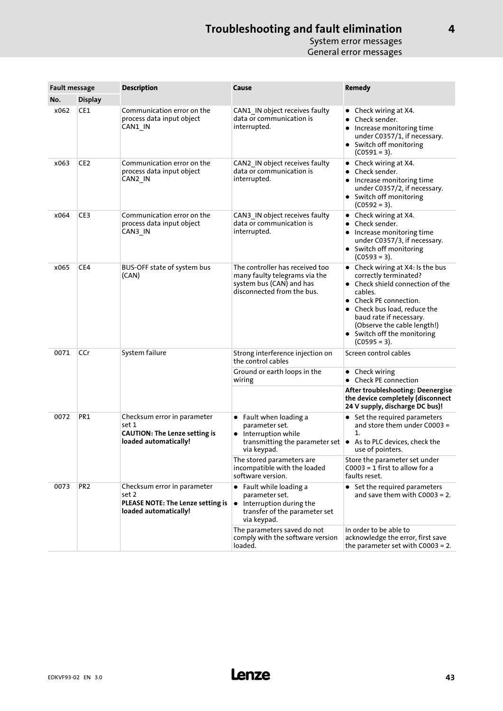| <b>Fault message</b> |                 | <b>Description</b>                                                                                    | Cause                                                                                                                                           | Remedy                                                                                                                                                                                                                                                                      |  |
|----------------------|-----------------|-------------------------------------------------------------------------------------------------------|-------------------------------------------------------------------------------------------------------------------------------------------------|-----------------------------------------------------------------------------------------------------------------------------------------------------------------------------------------------------------------------------------------------------------------------------|--|
| No.                  | <b>Display</b>  |                                                                                                       |                                                                                                                                                 |                                                                                                                                                                                                                                                                             |  |
| x062                 | CE1             | Communication error on the<br>process data input object<br>CAN1 IN                                    | CAN1 IN object receives faulty<br>data or communication is<br>interrupted.                                                                      | • Check wiring at X4.<br>Check sender.<br>$\bullet$<br>Increase monitoring time<br>under C0357/1, if necessary.<br>• Switch off monitoring<br>$(C0591 = 3).$                                                                                                                |  |
| x063                 | CE2             | Communication error on the<br>process data input object<br>CAN2_IN                                    | CAN2 IN object receives faulty<br>data or communication is<br>interrupted.                                                                      | • Check wiring at X4.<br>Check sender.<br>Increase monitoring time<br>٠<br>under C0357/2, if necessary.<br>• Switch off monitoring<br>$(C0592 = 3).$                                                                                                                        |  |
| x064                 | CE3             | Communication error on the<br>process data input object<br>CAN3 IN                                    | CAN3 IN object receives faulty<br>data or communication is<br>interrupted.                                                                      | • Check wiring at $X4$ .<br>Check sender.<br>$\bullet$<br>Increase monitoring time<br>under C0357/3, if necessary.<br>• Switch off monitoring<br>$(C0593 = 3).$                                                                                                             |  |
| x065                 | CE4             | BUS-OFF state of system bus<br>(CAN)                                                                  | The controller has received too<br>many faulty telegrams via the<br>system bus (CAN) and has<br>disconnected from the bus.                      | • Check wiring at X4: Is the bus<br>correctly terminated?<br>• Check shield connection of the<br>cables.<br>• Check PE connection.<br>Check bus load, reduce the<br>baud rate if necessary.<br>(Observe the cable length!)<br>• Switch off the monitoring<br>$(C0595 = 3).$ |  |
| 0071                 | CCr             | System failure                                                                                        | Strong interference injection on<br>the control cables                                                                                          | Screen control cables                                                                                                                                                                                                                                                       |  |
|                      |                 |                                                                                                       | Ground or earth loops in the<br>wiring                                                                                                          | $\bullet$ Check wiring<br><b>Check PE connection</b>                                                                                                                                                                                                                        |  |
|                      |                 |                                                                                                       |                                                                                                                                                 | After troubleshooting: Deenergise<br>the device completely (disconnect<br>24 V supply, discharge DC bus)!                                                                                                                                                                   |  |
| 0072                 | PR1             | Checksum error in parameter<br>set 1<br><b>CAUTION: The Lenze setting is</b><br>loaded automatically! | $\bullet$ Fault when loading a<br>parameter set.<br>• Interruption while<br>transmitting the parameter set $\vert \bullet \vert$<br>via keypad. | • Set the required parameters<br>and store them under C0003 =<br>1.<br>As to PLC devices, check the<br>use of pointers.                                                                                                                                                     |  |
|                      |                 |                                                                                                       | The stored parameters are<br>incompatible with the loaded<br>software version.                                                                  | Store the parameter set under<br>$C0003 = 1$ first to allow for a<br>faults reset.                                                                                                                                                                                          |  |
| 0073                 | PR <sub>2</sub> | Checksum error in parameter<br>set 2<br>PLEASE NOTE: The Lenze setting is<br>loaded automatically!    | • Fault while loading a<br>parameter set.<br>$\bullet$ Interruption during the<br>transfer of the parameter set<br>via keypad.                  | • Set the required parameters<br>and save them with $C0003 = 2$ .                                                                                                                                                                                                           |  |
|                      |                 |                                                                                                       | The parameters saved do not<br>comply with the software version<br>loaded.                                                                      | In order to be able to<br>acknowledge the error, first save<br>the parameter set with $C0003 = 2$ .                                                                                                                                                                         |  |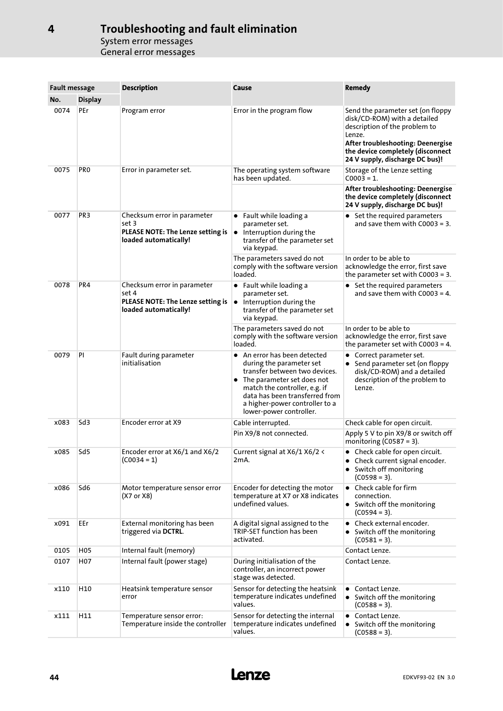| <b>Fault message</b> |                 | <b>Description</b>                                                                                                                                                                                                                           | Cause                                                                                                                                                                                                                                                             | Remedy                                                                                                                                                                                                                    |
|----------------------|-----------------|----------------------------------------------------------------------------------------------------------------------------------------------------------------------------------------------------------------------------------------------|-------------------------------------------------------------------------------------------------------------------------------------------------------------------------------------------------------------------------------------------------------------------|---------------------------------------------------------------------------------------------------------------------------------------------------------------------------------------------------------------------------|
| No.                  | <b>Display</b>  |                                                                                                                                                                                                                                              |                                                                                                                                                                                                                                                                   |                                                                                                                                                                                                                           |
| 0074                 | PEr             | Program error                                                                                                                                                                                                                                | Error in the program flow                                                                                                                                                                                                                                         | Send the parameter set (on floppy<br>disk/CD-ROM) with a detailed<br>description of the problem to<br>Lenze.<br>After troubleshooting: Deenergise<br>the device completely (disconnect<br>24 V supply, discharge DC bus)! |
| 0075                 | PR <sub>0</sub> | Error in parameter set.                                                                                                                                                                                                                      | The operating system software<br>has been updated.                                                                                                                                                                                                                | Storage of the Lenze setting<br>$C0003 = 1.$                                                                                                                                                                              |
|                      |                 |                                                                                                                                                                                                                                              |                                                                                                                                                                                                                                                                   | After troubleshooting: Deenergise<br>the device completely (disconnect<br>24 V supply, discharge DC bus)!                                                                                                                 |
| 0077                 | PR <sub>3</sub> | Checksum error in parameter<br>$\bullet$ Fault while loading a<br>set 3<br>parameter set.<br>PLEASE NOTE: The Lenze setting is<br>$\bullet$ Interruption during the<br>loaded automatically!<br>transfer of the parameter set<br>via keypad. |                                                                                                                                                                                                                                                                   | • Set the required parameters<br>and save them with $C0003 = 3$ .                                                                                                                                                         |
|                      |                 |                                                                                                                                                                                                                                              | The parameters saved do not<br>comply with the software version<br>loaded.                                                                                                                                                                                        | In order to be able to<br>acknowledge the error, first save<br>the parameter set with $C0003 = 3$ .                                                                                                                       |
| 0078                 | PR4             | Checksum error in parameter<br>set 4<br>PLEASE NOTE: The Lenze setting is<br>loaded automatically!                                                                                                                                           | $\bullet$ Fault while loading a<br>parameter set.<br>$\bullet$ Interruption during the<br>transfer of the parameter set<br>via keypad.                                                                                                                            | • Set the required parameters<br>and save them with $C0003 = 4$ .                                                                                                                                                         |
|                      |                 |                                                                                                                                                                                                                                              | The parameters saved do not<br>comply with the software version<br>loaded.                                                                                                                                                                                        | In order to be able to<br>acknowledge the error, first save<br>the parameter set with $C0003 = 4$ .                                                                                                                       |
| 0079                 | PI              | Fault during parameter<br>initialisation                                                                                                                                                                                                     | $\bullet$ An error has been detected<br>during the parameter set<br>transfer between two devices.<br>• The parameter set does not<br>match the controller, e.g. if<br>data has been transferred from<br>a higher-power controller to a<br>lower-power controller. | • Correct parameter set.<br>• Send parameter set (on floppy<br>disk/CD-ROM) and a detailed<br>description of the problem to<br>Lenze.                                                                                     |
| x083                 | Sd <sub>3</sub> | Encoder error at X9                                                                                                                                                                                                                          | Cable interrupted.                                                                                                                                                                                                                                                | Check cable for open circuit.                                                                                                                                                                                             |
|                      |                 |                                                                                                                                                                                                                                              | Pin X9/8 not connected.                                                                                                                                                                                                                                           | Apply 5 V to pin X9/8 or switch off<br>monitoring ( $C0587 = 3$ ).                                                                                                                                                        |
| x085                 | Sd5             | Encoder error at X6/1 and X6/2<br>$(C0034 = 1)$                                                                                                                                                                                              | Current signal at X6/1 X6/2 <<br>2mA.                                                                                                                                                                                                                             | • Check cable for open circuit.<br>• Check current signal encoder.<br>• Switch off monitoring<br>$(C0598 = 3).$                                                                                                           |
| x086                 | Sd6             | Motor temperature sensor error<br>(X7 or X8)                                                                                                                                                                                                 | Encoder for detecting the motor<br>temperature at X7 or X8 indicates<br>undefined values.                                                                                                                                                                         | $\bullet$ Check cable for firm<br>connection.<br>• Switch off the monitoring<br>$(C0594 = 3).$                                                                                                                            |
| x091                 | EEr             | External monitoring has been<br>triggered via DCTRL.                                                                                                                                                                                         | A digital signal assigned to the<br>TRIP-SET function has been<br>activated.                                                                                                                                                                                      | • Check external encoder.<br>• Switch off the monitoring<br>$(C0581 = 3).$                                                                                                                                                |
| 0105                 | H <sub>05</sub> | Internal fault (memory)                                                                                                                                                                                                                      |                                                                                                                                                                                                                                                                   | Contact Lenze.                                                                                                                                                                                                            |
| 0107                 | H07             | Internal fault (power stage)                                                                                                                                                                                                                 | During initialisation of the<br>controller, an incorrect power<br>stage was detected.                                                                                                                                                                             | Contact Lenze.                                                                                                                                                                                                            |
| x110                 | H10             | Heatsink temperature sensor<br>error                                                                                                                                                                                                         | Sensor for detecting the heatsink<br>temperature indicates undefined<br>values.                                                                                                                                                                                   | Contact Lenze.<br>• Switch off the monitoring<br>$(C0588 = 3).$                                                                                                                                                           |
| x111                 | H11             | Temperature sensor error:<br>Temperature inside the controller                                                                                                                                                                               | Sensor for detecting the internal<br>temperature indicates undefined<br>values.                                                                                                                                                                                   | Contact Lenze.<br>• Switch off the monitoring<br>$(C0588 = 3).$                                                                                                                                                           |

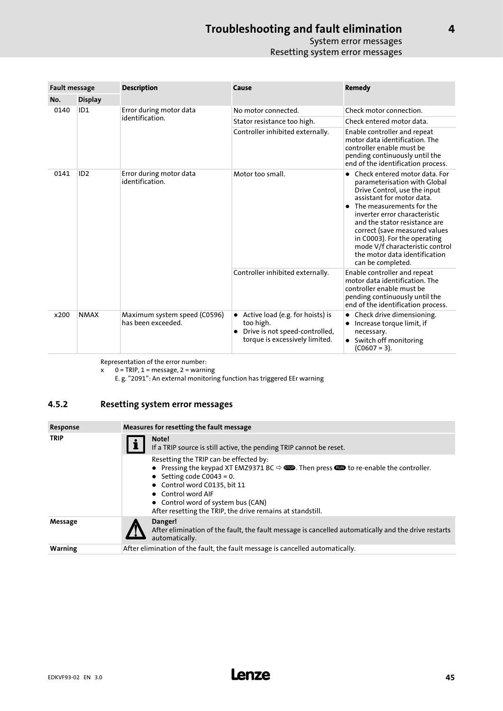## System error messages Resetting system error messages

<span id="page-44-0"></span>

| <b>Fault message</b> |                 | <b>Description</b>                                 | Cause                                                                                                                            | <b>Remedy</b>                                                                                                                                                                                                                                                                                                                                                                      |  |  |
|----------------------|-----------------|----------------------------------------------------|----------------------------------------------------------------------------------------------------------------------------------|------------------------------------------------------------------------------------------------------------------------------------------------------------------------------------------------------------------------------------------------------------------------------------------------------------------------------------------------------------------------------------|--|--|
| No.                  | <b>Display</b>  |                                                    |                                                                                                                                  |                                                                                                                                                                                                                                                                                                                                                                                    |  |  |
| 0140<br>0141<br>x200 | ID <sub>1</sub> | Error during motor data<br>identification.         | No motor connected.                                                                                                              | Check motor connection.                                                                                                                                                                                                                                                                                                                                                            |  |  |
|                      |                 |                                                    | Stator resistance too high.                                                                                                      | Check entered motor data.                                                                                                                                                                                                                                                                                                                                                          |  |  |
|                      |                 |                                                    | Controller inhibited externally.                                                                                                 | Enable controller and repeat<br>motor data identification. The<br>controller enable must be<br>pending continuously until the<br>end of the identification process.                                                                                                                                                                                                                |  |  |
|                      | ID <sub>2</sub> | Error during motor data<br>identification.         | Motor too small.                                                                                                                 | Check entered motor data. For<br>parameterisation with Global<br>Drive Control, use the input<br>assistant for motor data.<br>The measurements for the<br>inverter error characteristic<br>and the stator resistance are<br>correct (save measured values<br>in C0003). For the operating<br>mode V/f characteristic control<br>the motor data identification<br>can be completed. |  |  |
|                      |                 |                                                    | Controller inhibited externally.                                                                                                 | Enable controller and repeat<br>motor data identification. The<br>controller enable must be<br>pending continuously until the<br>end of the identification process.                                                                                                                                                                                                                |  |  |
|                      | <b>NMAX</b>     | Maximum system speed (C0596)<br>has been exceeded. | • Active load (e.g. for hoists) is<br>too high.<br>Drive is not speed-controlled,<br>$\bullet$<br>torque is excessively limited. | Check drive dimensioning.<br>Increase torque limit, if<br>necessary.<br>Switch off monitoring<br>$(C0607 = 3).$                                                                                                                                                                                                                                                                    |  |  |

Representation of the error number:

x 0 = TRIP, 1 = message, 2 = warning

E. g. "2091": An external monitoring function has triggered EEr warning

## 4.5.2 Resetting system error messages

| Response       | Measures for resetting the fault message                                                                                                                                                                                                                                                                                                               |  |  |  |  |
|----------------|--------------------------------------------------------------------------------------------------------------------------------------------------------------------------------------------------------------------------------------------------------------------------------------------------------------------------------------------------------|--|--|--|--|
| <b>TRIP</b>    | Note!<br>If a TRIP source is still active, the pending TRIP cannot be reset.                                                                                                                                                                                                                                                                           |  |  |  |  |
|                | Resetting the TRIP can be effected by:<br>• Pressing the keypad XT EMZ9371 BC $\Leftrightarrow$ <b>SEP</b> . Then press <b>CEP</b> to re-enable the controller.<br>• Setting code C0043 = 0.<br>• Control word C0135, bit 11<br>• Control word AIF<br>• Control word of system bus (CAN)<br>After resetting the TRIP, the drive remains at standstill. |  |  |  |  |
| Message        | Danger!<br>After elimination of the fault, the fault message is cancelled automatically and the drive restarts<br>automatically.                                                                                                                                                                                                                       |  |  |  |  |
| <b>Warning</b> | After elimination of the fault, the fault message is cancelled automatically.                                                                                                                                                                                                                                                                          |  |  |  |  |

[4](#page-31-0)